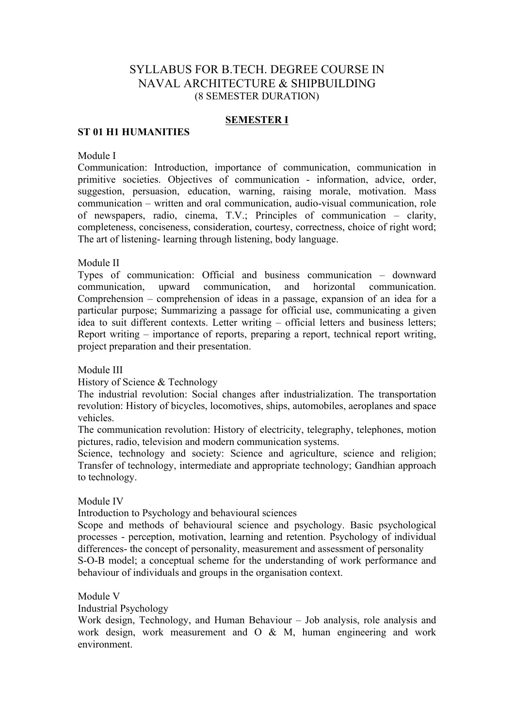# SYLLABUS FOR B.TECH. DEGREE COURSE IN NAVAL ARCHITECTURE & SHIPBUILDING (8 SEMESTER DURATION)

## **SEMESTER I**

## **ST 01 H1 HUMANITIES**

Module I

Communication: Introduction, importance of communication, communication in primitive societies. Objectives of communication - information, advice, order, suggestion, persuasion, education, warning, raising morale, motivation. Mass communication – written and oral communication, audio-visual communication, role of newspapers, radio, cinema, T.V.; Principles of communication – clarity, completeness, conciseness, consideration, courtesy, correctness, choice of right word; The art of listening- learning through listening, body language.

Module II

Types of communication: Official and business communication – downward communication, upward communication, and horizontal communication. Comprehension – comprehension of ideas in a passage, expansion of an idea for a particular purpose; Summarizing a passage for official use, communicating a given idea to suit different contexts. Letter writing – official letters and business letters; Report writing – importance of reports, preparing a report, technical report writing, project preparation and their presentation.

Module III

History of Science & Technology

The industrial revolution: Social changes after industrialization. The transportation revolution: History of bicycles, locomotives, ships, automobiles, aeroplanes and space vehicles.

The communication revolution: History of electricity, telegraphy, telephones, motion pictures, radio, television and modern communication systems.

Science, technology and society: Science and agriculture, science and religion; Transfer of technology, intermediate and appropriate technology; Gandhian approach to technology.

Module IV

Introduction to Psychology and behavioural sciences

Scope and methods of behavioural science and psychology. Basic psychological processes - perception, motivation, learning and retention. Psychology of individual differences- the concept of personality, measurement and assessment of personality S-O-B model; a conceptual scheme for the understanding of work performance and behaviour of individuals and groups in the organisation context.

Module V

Industrial Psychology

Work design, Technology, and Human Behaviour – Job analysis, role analysis and work design, work measurement and O & M, human engineering and work environment.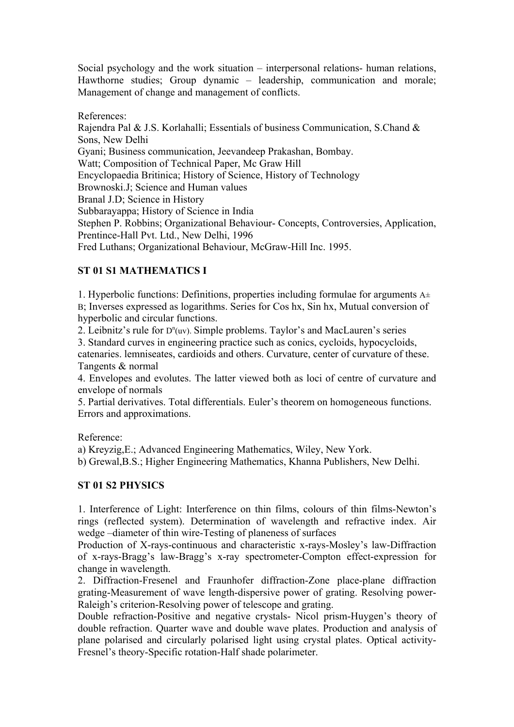Social psychology and the work situation – interpersonal relations- human relations, Hawthorne studies; Group dynamic – leadership, communication and morale; Management of change and management of conflicts.

References:

Rajendra Pal & J.S. Korlahalli; Essentials of business Communication, S.Chand & Sons, New Delhi Gyani; Business communication, Jeevandeep Prakashan, Bombay. Watt; Composition of Technical Paper, Mc Graw Hill Encyclopaedia Britinica; History of Science, History of Technology Brownoski.J; Science and Human values Branal J.D; Science in History Subbarayappa; History of Science in India Stephen P. Robbins; Organizational Behaviour- Concepts, Controversies, Application, Prentince-Hall Pvt. Ltd., New Delhi, 1996 Fred Luthans; Organizational Behaviour, McGraw-Hill Inc. 1995.

# **ST 01 S1 MATHEMATICS I**

1. Hyperbolic functions: Definitions, properties including formulae for arguments  $A\pm$ B; Inverses expressed as logarithms. Series for Cos hx, Sin hx, Mutual conversion of hyperbolic and circular functions.

2. Leibnitz's rule for  $D^n(uv)$ . Simple problems. Taylor's and MacLauren's series

3. Standard curves in engineering practice such as conics, cycloids, hypocycloids, catenaries. lemniseates, cardioids and others. Curvature, center of curvature of these. Tangents & normal

4. Envelopes and evolutes. The latter viewed both as loci of centre of curvature and envelope of normals

5. Partial derivatives. Total differentials. Euler's theorem on homogeneous functions. Errors and approximations.

Reference:

a) Kreyzig,E.; Advanced Engineering Mathematics, Wiley, New York.

b) Grewal,B.S.; Higher Engineering Mathematics, Khanna Publishers, New Delhi.

# **ST 01 S2 PHYSICS**

1. Interference of Light: Interference on thin films, colours of thin films-Newton's rings (reflected system). Determination of wavelength and refractive index. Air wedge –diameter of thin wire-Testing of planeness of surfaces

Production of X-rays-continuous and characteristic x-rays-Mosley's law-Diffraction of x-rays-Bragg's law-Bragg's x-ray spectrometer-Compton effect-expression for change in wavelength.

2. Diffraction-Fresenel and Fraunhofer diffraction-Zone place-plane diffraction grating-Measurement of wave length-dispersive power of grating. Resolving power-Raleigh's criterion-Resolving power of telescope and grating.

Double refraction-Positive and negative crystals- Nicol prism-Huygen's theory of double refraction. Quarter wave and double wave plates. Production and analysis of plane polarised and circularly polarised light using crystal plates. Optical activity-Fresnel's theory-Specific rotation-Half shade polarimeter.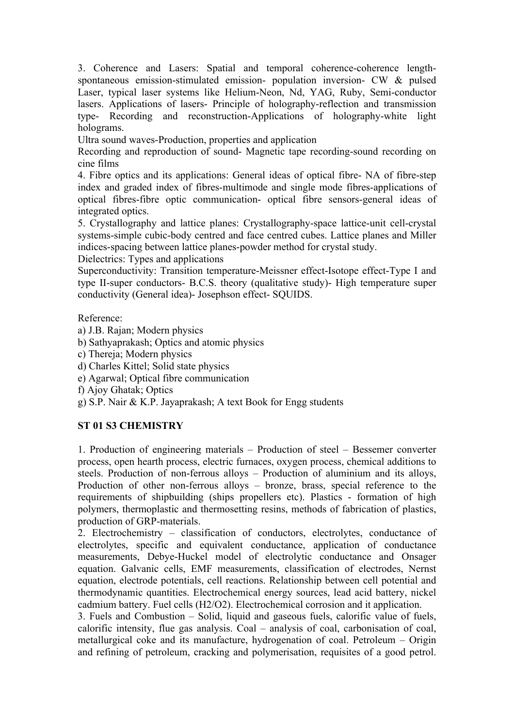3. Coherence and Lasers: Spatial and temporal coherence-coherence lengthspontaneous emission-stimulated emission- population inversion- CW & pulsed Laser, typical laser systems like Helium-Neon, Nd, YAG, Ruby, Semi-conductor lasers. Applications of lasers- Principle of holography-reflection and transmission type- Recording and reconstruction-Applications of holography-white light holograms.

Ultra sound waves-Production, properties and application

Recording and reproduction of sound- Magnetic tape recording-sound recording on cine films

4. Fibre optics and its applications: General ideas of optical fibre- NA of fibre-step index and graded index of fibres-multimode and single mode fibres-applications of optical fibres-fibre optic communication- optical fibre sensors-general ideas of integrated optics.

5. Crystallography and lattice planes: Crystallography-space lattice-unit cell-crystal systems-simple cubic-body centred and face centred cubes. Lattice planes and Miller indices-spacing between lattice planes-powder method for crystal study.

Dielectrics: Types and applications

Superconductivity: Transition temperature-Meissner effect-Isotope effect-Type I and type II-super conductors- B.C.S. theory (qualitative study)- High temperature super conductivity (General idea)- Josephson effect- SQUIDS.

Reference:

- a) J.B. Rajan; Modern physics
- b) Sathyaprakash; Optics and atomic physics
- c) Thereja; Modern physics
- d) Charles Kittel; Solid state physics
- e) Agarwal; Optical fibre communication
- f) Ajoy Ghatak; Optics
- g) S.P. Nair & K.P. Jayaprakash; A text Book for Engg students

# **ST 01 S3 CHEMISTRY**

1. Production of engineering materials – Production of steel – Bessemer converter process, open hearth process, electric furnaces, oxygen process, chemical additions to steels. Production of non-ferrous alloys – Production of aluminium and its alloys, Production of other non-ferrous alloys – bronze, brass, special reference to the requirements of shipbuilding (ships propellers etc). Plastics - formation of high polymers, thermoplastic and thermosetting resins, methods of fabrication of plastics, production of GRP-materials.

2. Electrochemistry – classification of conductors, electrolytes, conductance of electrolytes, specific and equivalent conductance, application of conductance measurements, Debye-Huckel model of electrolytic conductance and Onsager equation. Galvanic cells, EMF measurements, classification of electrodes, Nernst equation, electrode potentials, cell reactions. Relationship between cell potential and thermodynamic quantities. Electrochemical energy sources, lead acid battery, nickel cadmium battery. Fuel cells (H2/O2). Electrochemical corrosion and it application.

3. Fuels and Combustion – Solid, liquid and gaseous fuels, calorific value of fuels, calorific intensity, flue gas analysis. Coal – analysis of coal, carbonisation of coal, metallurgical coke and its manufacture, hydrogenation of coal. Petroleum – Origin and refining of petroleum, cracking and polymerisation, requisites of a good petrol.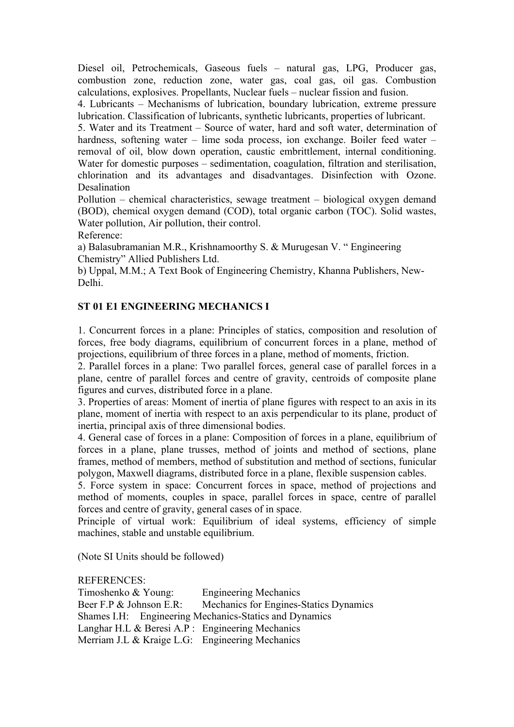Diesel oil, Petrochemicals, Gaseous fuels – natural gas, LPG, Producer gas, combustion zone, reduction zone, water gas, coal gas, oil gas. Combustion calculations, explosives. Propellants, Nuclear fuels – nuclear fission and fusion.

4. Lubricants – Mechanisms of lubrication, boundary lubrication, extreme pressure lubrication. Classification of lubricants, synthetic lubricants, properties of lubricant.

5. Water and its Treatment – Source of water, hard and soft water, determination of hardness, softening water – lime soda process, ion exchange. Boiler feed water – removal of oil, blow down operation, caustic embrittlement, internal conditioning. Water for domestic purposes – sedimentation, coagulation, filtration and sterilisation, chlorination and its advantages and disadvantages. Disinfection with Ozone. **Desalination** 

Pollution – chemical characteristics, sewage treatment – biological oxygen demand (BOD), chemical oxygen demand (COD), total organic carbon (TOC). Solid wastes, Water pollution, Air pollution, their control.

Reference:

a) Balasubramanian M.R., Krishnamoorthy S. & Murugesan V. " Engineering Chemistry" Allied Publishers Ltd.

b) Uppal, M.M.; A Text Book of Engineering Chemistry, Khanna Publishers, New-Delhi.

# **ST 01 E1 ENGINEERING MECHANICS I**

1. Concurrent forces in a plane: Principles of statics, composition and resolution of forces, free body diagrams, equilibrium of concurrent forces in a plane, method of projections, equilibrium of three forces in a plane, method of moments, friction.

2. Parallel forces in a plane: Two parallel forces, general case of parallel forces in a plane, centre of parallel forces and centre of gravity, centroids of composite plane figures and curves, distributed force in a plane.

3. Properties of areas: Moment of inertia of plane figures with respect to an axis in its plane, moment of inertia with respect to an axis perpendicular to its plane, product of inertia, principal axis of three dimensional bodies.

4. General case of forces in a plane: Composition of forces in a plane, equilibrium of forces in a plane, plane trusses, method of joints and method of sections, plane frames, method of members, method of substitution and method of sections, funicular polygon, Maxwell diagrams, distributed force in a plane, flexible suspension cables.

5. Force system in space: Concurrent forces in space, method of projections and method of moments, couples in space, parallel forces in space, centre of parallel forces and centre of gravity, general cases of in space.

Principle of virtual work: Equilibrium of ideal systems, efficiency of simple machines, stable and unstable equilibrium.

(Note SI Units should be followed)

REFERENCES:

Timoshenko & Young: Engineering Mechanics Beer F.P & Johnson E.R: Mechanics for Engines-Statics Dynamics Shames I.H: Engineering Mechanics-Statics and Dynamics Langhar H.L & Beresi A.P : Engineering Mechanics Merriam J.L & Kraige L.G: Engineering Mechanics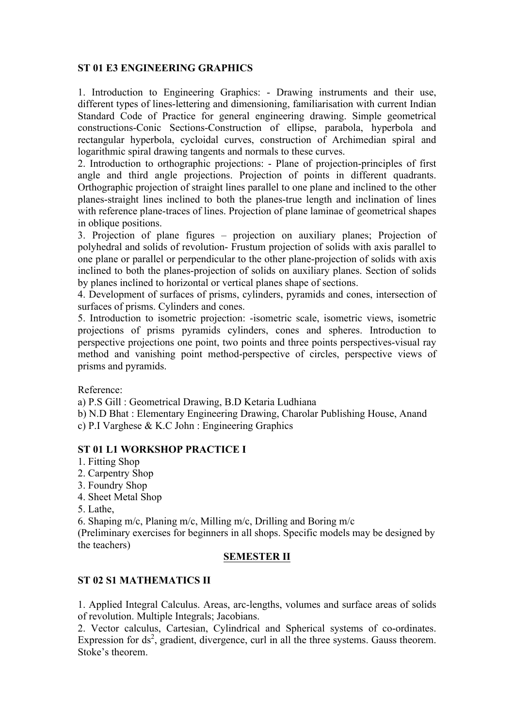# **ST 01 E3 ENGINEERING GRAPHICS**

1. Introduction to Engineering Graphics: - Drawing instruments and their use, different types of lines-lettering and dimensioning, familiarisation with current Indian Standard Code of Practice for general engineering drawing. Simple geometrical constructions-Conic Sections-Construction of ellipse, parabola, hyperbola and rectangular hyperbola, cycloidal curves, construction of Archimedian spiral and logarithmic spiral drawing tangents and normals to these curves.

2. Introduction to orthographic projections: - Plane of projection-principles of first angle and third angle projections. Projection of points in different quadrants. Orthographic projection of straight lines parallel to one plane and inclined to the other planes-straight lines inclined to both the planes-true length and inclination of lines with reference plane-traces of lines. Projection of plane laminae of geometrical shapes in oblique positions.

3. Projection of plane figures – projection on auxiliary planes; Projection of polyhedral and solids of revolution- Frustum projection of solids with axis parallel to one plane or parallel or perpendicular to the other plane-projection of solids with axis inclined to both the planes-projection of solids on auxiliary planes. Section of solids by planes inclined to horizontal or vertical planes shape of sections.

4. Development of surfaces of prisms, cylinders, pyramids and cones, intersection of surfaces of prisms. Cylinders and cones.

5. Introduction to isometric projection: -isometric scale, isometric views, isometric projections of prisms pyramids cylinders, cones and spheres. Introduction to perspective projections one point, two points and three points perspectives-visual ray method and vanishing point method-perspective of circles, perspective views of prisms and pyramids.

Reference:

a) P.S Gill : Geometrical Drawing, B.D Ketaria Ludhiana

b) N.D Bhat : Elementary Engineering Drawing, Charolar Publishing House, Anand c) P.I Varghese & K.C John : Engineering Graphics

# **ST 01 L1 WORKSHOP PRACTICE I**

- 1. Fitting Shop
- 2. Carpentry Shop
- 3. Foundry Shop
- 4. Sheet Metal Shop

5. Lathe,

6. Shaping m/c, Planing m/c, Milling m/c, Drilling and Boring m/c

(Preliminary exercises for beginners in all shops. Specific models may be designed by the teachers)

# **SEMESTER II**

# **ST 02 S1 MATHEMATICS II**

1. Applied Integral Calculus. Areas, arc-lengths, volumes and surface areas of solids of revolution. Multiple Integrals; Jacobians.

2. Vector calculus, Cartesian, Cylindrical and Spherical systems of co-ordinates. Expression for  $ds^2$ , gradient, divergence, curl in all the three systems. Gauss theorem. Stoke's theorem.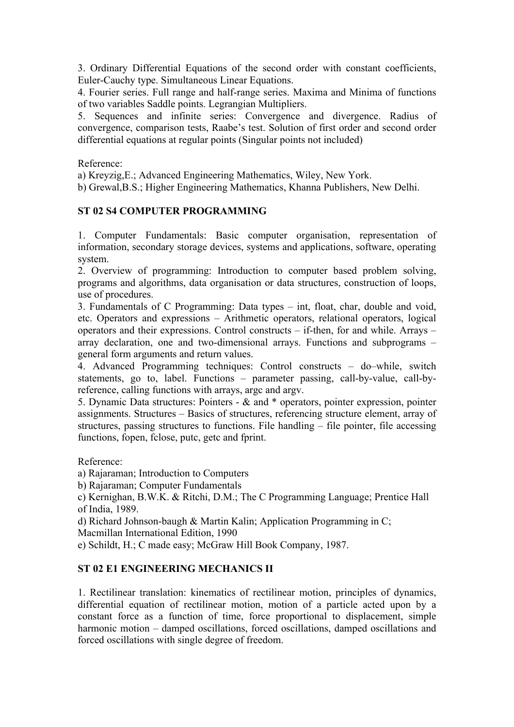3. Ordinary Differential Equations of the second order with constant coefficients, Euler-Cauchy type. Simultaneous Linear Equations.

4. Fourier series. Full range and half-range series. Maxima and Minima of functions of two variables Saddle points. Legrangian Multipliers.

5. Sequences and infinite series: Convergence and divergence. Radius of convergence, comparison tests, Raabe's test. Solution of first order and second order differential equations at regular points (Singular points not included)

Reference:

a) Kreyzig,E.; Advanced Engineering Mathematics, Wiley, New York.

b) Grewal,B.S.; Higher Engineering Mathematics, Khanna Publishers, New Delhi.

## **ST 02 S4 COMPUTER PROGRAMMING**

1. Computer Fundamentals: Basic computer organisation, representation of information, secondary storage devices, systems and applications, software, operating system.

2. Overview of programming: Introduction to computer based problem solving, programs and algorithms, data organisation or data structures, construction of loops, use of procedures.

3. Fundamentals of C Programming: Data types – int, float, char, double and void, etc. Operators and expressions – Arithmetic operators, relational operators, logical operators and their expressions. Control constructs – if-then, for and while. Arrays – array declaration, one and two-dimensional arrays. Functions and subprograms – general form arguments and return values.

4. Advanced Programming techniques: Control constructs – do–while, switch statements, go to, label. Functions – parameter passing, call-by-value, call-byreference, calling functions with arrays, argc and argv.

5. Dynamic Data structures: Pointers - & and \* operators, pointer expression, pointer assignments. Structures – Basics of structures, referencing structure element, array of structures, passing structures to functions. File handling – file pointer, file accessing functions, fopen, fclose, putc, getc and fprint.

Reference:

a) Rajaraman; Introduction to Computers

b) Rajaraman; Computer Fundamentals

c) Kernighan, B.W.K. & Ritchi, D.M.; The C Programming Language; Prentice Hall of India, 1989.

d) Richard Johnson-baugh & Martin Kalin; Application Programming in C;

Macmillan International Edition, 1990

e) Schildt, H.; C made easy; McGraw Hill Book Company, 1987.

# **ST 02 E1 ENGINEERING MECHANICS II**

1. Rectilinear translation: kinematics of rectilinear motion, principles of dynamics, differential equation of rectilinear motion, motion of a particle acted upon by a constant force as a function of time, force proportional to displacement, simple harmonic motion – damped oscillations, forced oscillations, damped oscillations and forced oscillations with single degree of freedom.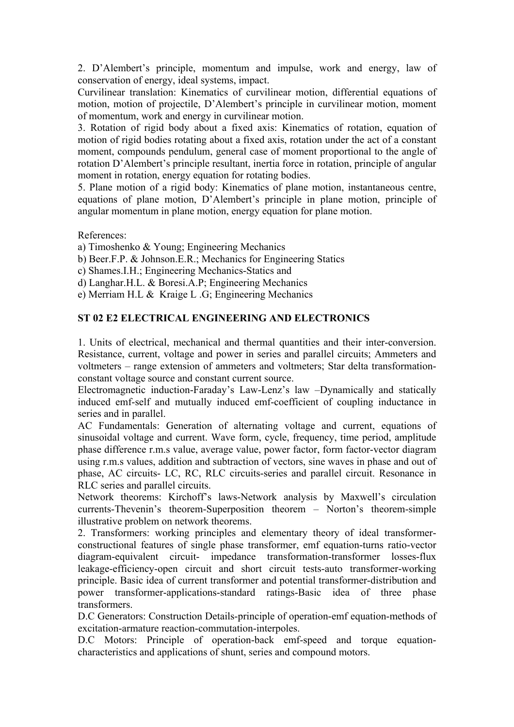2. D'Alembert's principle, momentum and impulse, work and energy, law of conservation of energy, ideal systems, impact.

Curvilinear translation: Kinematics of curvilinear motion, differential equations of motion, motion of projectile, D'Alembert's principle in curvilinear motion, moment of momentum, work and energy in curvilinear motion.

3. Rotation of rigid body about a fixed axis: Kinematics of rotation, equation of motion of rigid bodies rotating about a fixed axis, rotation under the act of a constant moment, compounds pendulum, general case of moment proportional to the angle of rotation D'Alembert's principle resultant, inertia force in rotation, principle of angular moment in rotation, energy equation for rotating bodies.

5. Plane motion of a rigid body: Kinematics of plane motion, instantaneous centre, equations of plane motion, D'Alembert's principle in plane motion, principle of angular momentum in plane motion, energy equation for plane motion.

References:

a) Timoshenko & Young; Engineering Mechanics

- b) Beer.F.P. & Johnson.E.R.; Mechanics for Engineering Statics
- c) Shames.I.H.; Engineering Mechanics-Statics and
- d) Langhar.H.L. & Boresi.A.P; Engineering Mechanics

e) Merriam H.L & Kraige L .G; Engineering Mechanics

# **ST 02 E2 ELECTRICAL ENGINEERING AND ELECTRONICS**

1. Units of electrical, mechanical and thermal quantities and their inter-conversion. Resistance, current, voltage and power in series and parallel circuits; Ammeters and voltmeters – range extension of ammeters and voltmeters; Star delta transformationconstant voltage source and constant current source.

Electromagnetic induction-Faraday's Law-Lenz's law –Dynamically and statically induced emf-self and mutually induced emf-coefficient of coupling inductance in series and in parallel.

AC Fundamentals: Generation of alternating voltage and current, equations of sinusoidal voltage and current. Wave form, cycle, frequency, time period, amplitude phase difference r.m.s value, average value, power factor, form factor-vector diagram using r.m.s values, addition and subtraction of vectors, sine waves in phase and out of phase, AC circuits- LC, RC, RLC circuits-series and parallel circuit. Resonance in RLC series and parallel circuits.

Network theorems: Kirchoff's laws-Network analysis by Maxwell's circulation currents-Thevenin's theorem-Superposition theorem – Norton's theorem-simple illustrative problem on network theorems.

2. Transformers: working principles and elementary theory of ideal transformerconstructional features of single phase transformer, emf equation-turns ratio-vector diagram-equivalent circuit- impedance transformation-transformer losses-flux leakage-efficiency-open circuit and short circuit tests-auto transformer-working principle. Basic idea of current transformer and potential transformer-distribution and power transformer-applications-standard ratings-Basic idea of three phase transformers.

D.C Generators: Construction Details-principle of operation-emf equation-methods of excitation-armature reaction-commutation-interpoles.

D.C Motors: Principle of operation-back emf-speed and torque equationcharacteristics and applications of shunt, series and compound motors.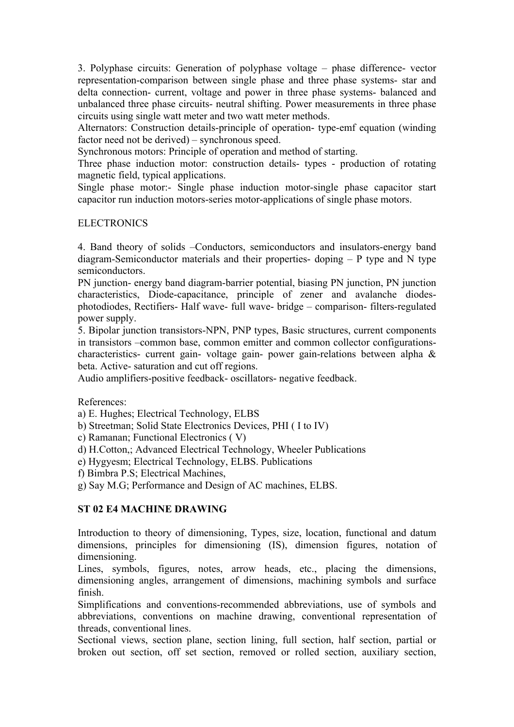3. Polyphase circuits: Generation of polyphase voltage – phase difference- vector representation-comparison between single phase and three phase systems- star and delta connection- current, voltage and power in three phase systems- balanced and unbalanced three phase circuits- neutral shifting. Power measurements in three phase circuits using single watt meter and two watt meter methods.

Alternators: Construction details-principle of operation- type-emf equation (winding factor need not be derived) – synchronous speed.

Synchronous motors: Principle of operation and method of starting.

Three phase induction motor: construction details- types - production of rotating magnetic field, typical applications.

Single phase motor:- Single phase induction motor-single phase capacitor start capacitor run induction motors-series motor-applications of single phase motors.

## **ELECTRONICS**

4. Band theory of solids –Conductors, semiconductors and insulators-energy band diagram-Semiconductor materials and their properties- doping – P type and N type semiconductors.

PN junction- energy band diagram-barrier potential, biasing PN junction, PN junction characteristics, Diode-capacitance, principle of zener and avalanche diodesphotodiodes, Rectifiers- Half wave- full wave- bridge – comparison- filters-regulated power supply.

5. Bipolar junction transistors-NPN, PNP types, Basic structures, current components in transistors –common base, common emitter and common collector configurationscharacteristics- current gain- voltage gain- power gain-relations between alpha & beta. Active- saturation and cut off regions.

Audio amplifiers-positive feedback- oscillators- negative feedback.

References:

a) E. Hughes; Electrical Technology, ELBS

- b) Streetman; Solid State Electronics Devices, PHI ( I to IV)
- c) Ramanan; Functional Electronics ( V)
- d) H.Cotton,; Advanced Electrical Technology, Wheeler Publications

e) Hygyesm; Electrical Technology, ELBS. Publications

f) Bimbra P.S; Electrical Machines,

g) Say M.G; Performance and Design of AC machines, ELBS.

# **ST 02 E4 MACHINE DRAWING**

Introduction to theory of dimensioning, Types, size, location, functional and datum dimensions, principles for dimensioning (IS), dimension figures, notation of dimensioning.

Lines, symbols, figures, notes, arrow heads, etc., placing the dimensions, dimensioning angles, arrangement of dimensions, machining symbols and surface finish.

Simplifications and conventions-recommended abbreviations, use of symbols and abbreviations, conventions on machine drawing, conventional representation of threads, conventional lines.

Sectional views, section plane, section lining, full section, half section, partial or broken out section, off set section, removed or rolled section, auxiliary section,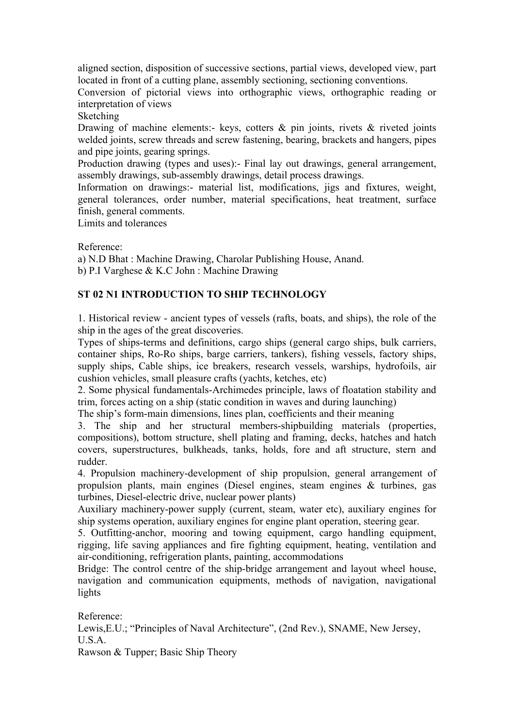aligned section, disposition of successive sections, partial views, developed view, part located in front of a cutting plane, assembly sectioning, sectioning conventions.

Conversion of pictorial views into orthographic views, orthographic reading or interpretation of views

Sketching

Drawing of machine elements:- keys, cotters  $\&$  pin joints, rivets  $\&$  riveted joints welded joints, screw threads and screw fastening, bearing, brackets and hangers, pipes and pipe joints, gearing springs.

Production drawing (types and uses):- Final lay out drawings, general arrangement, assembly drawings, sub-assembly drawings, detail process drawings.

Information on drawings:- material list, modifications, jigs and fixtures, weight, general tolerances, order number, material specifications, heat treatment, surface finish, general comments.

Limits and tolerances

Reference:

a) N.D Bhat : Machine Drawing, Charolar Publishing House, Anand. b) P.I Varghese & K.C John : Machine Drawing

# **ST 02 N1 INTRODUCTION TO SHIP TECHNOLOGY**

1. Historical review - ancient types of vessels (rafts, boats, and ships), the role of the ship in the ages of the great discoveries.

Types of ships-terms and definitions, cargo ships (general cargo ships, bulk carriers, container ships, Ro-Ro ships, barge carriers, tankers), fishing vessels, factory ships, supply ships, Cable ships, ice breakers, research vessels, warships, hydrofoils, air cushion vehicles, small pleasure crafts (yachts, ketches, etc)

2. Some physical fundamentals-Archimedes principle, laws of floatation stability and trim, forces acting on a ship (static condition in waves and during launching)

The ship's form-main dimensions, lines plan, coefficients and their meaning

3. The ship and her structural members-shipbuilding materials (properties, compositions), bottom structure, shell plating and framing, decks, hatches and hatch covers, superstructures, bulkheads, tanks, holds, fore and aft structure, stern and rudder.

4. Propulsion machinery-development of ship propulsion, general arrangement of propulsion plants, main engines (Diesel engines, steam engines & turbines, gas turbines, Diesel-electric drive, nuclear power plants)

Auxiliary machinery-power supply (current, steam, water etc), auxiliary engines for ship systems operation, auxiliary engines for engine plant operation, steering gear.

5. Outfitting-anchor, mooring and towing equipment, cargo handling equipment, rigging, life saving appliances and fire fighting equipment, heating, ventilation and air-conditioning, refrigeration plants, painting, accommodations

Bridge: The control centre of the ship-bridge arrangement and layout wheel house, navigation and communication equipments, methods of navigation, navigational lights

Reference:

Lewis,E.U.; "Principles of Naval Architecture", (2nd Rev.), SNAME, New Jersey,  $U.S.A$ 

Rawson & Tupper; Basic Ship Theory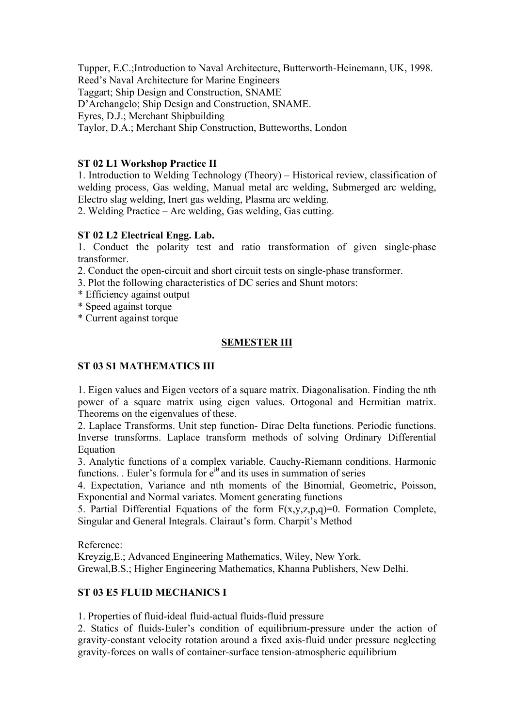Tupper, E.C.;Introduction to Naval Architecture, Butterworth-Heinemann, UK, 1998. Reed's Naval Architecture for Marine Engineers Taggart; Ship Design and Construction, SNAME D'Archangelo; Ship Design and Construction, SNAME. Eyres, D.J.; Merchant Shipbuilding Taylor, D.A.; Merchant Ship Construction, Butteworths, London

## **ST 02 L1 Workshop Practice II**

1. Introduction to Welding Technology (Theory) – Historical review, classification of welding process, Gas welding, Manual metal arc welding, Submerged arc welding, Electro slag welding, Inert gas welding, Plasma arc welding.

2. Welding Practice – Arc welding, Gas welding, Gas cutting.

## **ST 02 L2 Electrical Engg. Lab.**

1. Conduct the polarity test and ratio transformation of given single-phase transformer.

- 2. Conduct the open-circuit and short circuit tests on single-phase transformer.
- 3. Plot the following characteristics of DC series and Shunt motors:
- \* Efficiency against output
- \* Speed against torque
- \* Current against torque

## **SEMESTER III**

## **ST 03 S1 MATHEMATICS III**

1. Eigen values and Eigen vectors of a square matrix. Diagonalisation. Finding the nth power of a square matrix using eigen values. Ortogonal and Hermitian matrix. Theorems on the eigenvalues of these.

2. Laplace Transforms. Unit step function- Dirac Delta functions. Periodic functions. Inverse transforms. Laplace transform methods of solving Ordinary Differential Equation

3. Analytic functions of a complex variable. Cauchy-Riemann conditions. Harmonic functions. . Euler's formula for  $e^{i\theta}$  and its uses in summation of series

4. Expectation, Variance and nth moments of the Binomial, Geometric, Poisson, Exponential and Normal variates. Moment generating functions

5. Partial Differential Equations of the form  $F(x,y,z,p,q)=0$ . Formation Complete, Singular and General Integrals. Clairaut's form. Charpit's Method

Reference:

Kreyzig,E.; Advanced Engineering Mathematics, Wiley, New York.

Grewal,B.S.; Higher Engineering Mathematics, Khanna Publishers, New Delhi.

# **ST 03 E5 FLUID MECHANICS I**

1. Properties of fluid-ideal fluid-actual fluids-fluid pressure

2. Statics of fluids-Euler's condition of equilibrium-pressure under the action of gravity-constant velocity rotation around a fixed axis-fluid under pressure neglecting gravity-forces on walls of container-surface tension-atmospheric equilibrium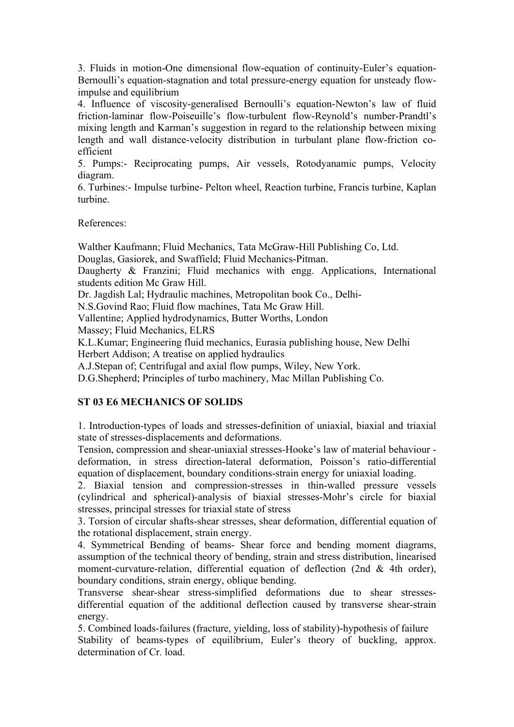3. Fluids in motion-One dimensional flow-equation of continuity-Euler's equation-Bernoulli's equation-stagnation and total pressure-energy equation for unsteady flowimpulse and equilibrium

4. Influence of viscosity-generalised Bernoulli's equation-Newton's law of fluid friction-laminar flow-Poiseuille's flow-turbulent flow-Reynold's number-Prandtl's mixing length and Karman's suggestion in regard to the relationship between mixing length and wall distance-velocity distribution in turbulant plane flow-friction coefficient

5. Pumps:- Reciprocating pumps, Air vessels, Rotodyanamic pumps, Velocity diagram.

6. Turbines:- Impulse turbine- Pelton wheel, Reaction turbine, Francis turbine, Kaplan turbine.

References:

Walther Kaufmann; Fluid Mechanics, Tata McGraw-Hill Publishing Co, Ltd. Douglas, Gasiorek, and Swaffield; Fluid Mechanics-Pitman.

Daugherty & Franzini; Fluid mechanics with engg. Applications, International students edition Mc Graw Hill.

Dr. Jagdish Lal; Hydraulic machines, Metropolitan book Co., Delhi-

N.S.Govind Rao; Fluid flow machines, Tata Mc Graw Hill.

Vallentine; Applied hydrodynamics, Butter Worths, London

Massey; Fluid Mechanics, ELRS

K.L.Kumar; Engineering fluid mechanics, Eurasia publishing house, New Delhi Herbert Addison; A treatise on applied hydraulics

A.J.Stepan of; Centrifugal and axial flow pumps, Wiley, New York.

D.G.Shepherd; Principles of turbo machinery, Mac Millan Publishing Co.

# **ST 03 E6 MECHANICS OF SOLIDS**

1. Introduction-types of loads and stresses-definition of uniaxial, biaxial and triaxial state of stresses-displacements and deformations.

Tension, compression and shear-uniaxial stresses-Hooke's law of material behaviour deformation, in stress direction-lateral deformation, Poisson's ratio-differential equation of displacement, boundary conditions-strain energy for uniaxial loading.

2. Biaxial tension and compression-stresses in thin-walled pressure vessels (cylindrical and spherical)-analysis of biaxial stresses-Mohr's circle for biaxial stresses, principal stresses for triaxial state of stress

3. Torsion of circular shafts-shear stresses, shear deformation, differential equation of the rotational displacement, strain energy.

4. Symmetrical Bending of beams- Shear force and bending moment diagrams, assumption of the technical theory of bending, strain and stress distribution, linearised moment-curvature-relation, differential equation of deflection (2nd & 4th order), boundary conditions, strain energy, oblique bending.

Transverse shear-shear stress-simplified deformations due to shear stressesdifferential equation of the additional deflection caused by transverse shear-strain energy.

5. Combined loads-failures (fracture, yielding, loss of stability)-hypothesis of failure Stability of beams-types of equilibrium, Euler's theory of buckling, approx. determination of Cr. load.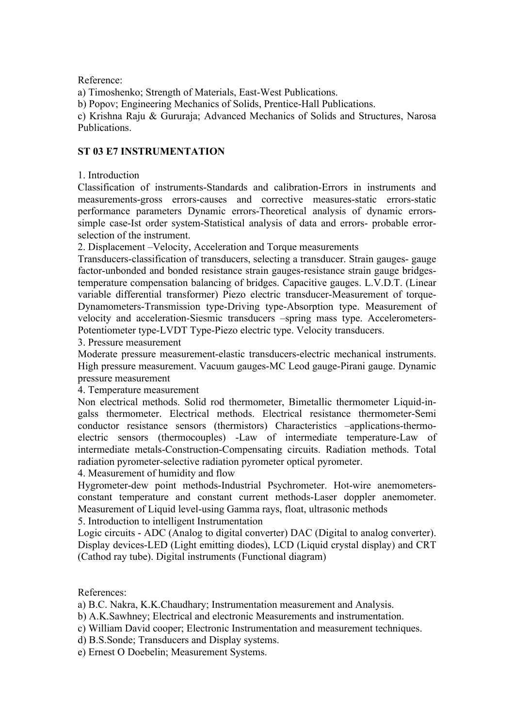Reference:

a) Timoshenko; Strength of Materials, East-West Publications.

b) Popov; Engineering Mechanics of Solids, Prentice-Hall Publications.

c) Krishna Raju & Gururaja; Advanced Mechanics of Solids and Structures, Narosa Publications.

## **ST 03 E7 INSTRUMENTATION**

1. Introduction

Classification of instruments-Standards and calibration-Errors in instruments and measurements-gross errors-causes and corrective measures-static errors-static performance parameters Dynamic errors-Theoretical analysis of dynamic errorssimple case-Ist order system-Statistical analysis of data and errors- probable errorselection of the instrument.

2. Displacement –Velocity, Acceleration and Torque measurements

Transducers-classification of transducers, selecting a transducer. Strain gauges- gauge factor-unbonded and bonded resistance strain gauges-resistance strain gauge bridgestemperature compensation balancing of bridges. Capacitive gauges. L.V.D.T. (Linear variable differential transformer) Piezo electric transducer-Measurement of torque-Dynamometers-Transmission type-Driving type-Absorption type. Measurement of velocity and acceleration-Siesmic transducers –spring mass type. Accelerometers-Potentiometer type-LVDT Type-Piezo electric type. Velocity transducers.

3. Pressure measurement

Moderate pressure measurement-elastic transducers-electric mechanical instruments. High pressure measurement. Vacuum gauges-MC Leod gauge-Pirani gauge. Dynamic pressure measurement

4. Temperature measurement

Non electrical methods. Solid rod thermometer, Bimetallic thermometer Liquid-ingalss thermometer. Electrical methods. Electrical resistance thermometer-Semi conductor resistance sensors (thermistors) Characteristics –applications-thermoelectric sensors (thermocouples) -Law of intermediate temperature-Law of intermediate metals-Construction-Compensating circuits. Radiation methods. Total radiation pyrometer-selective radiation pyrometer optical pyrometer.

4. Measurement of humidity and flow

Hygrometer-dew point methods-Industrial Psychrometer. Hot-wire anemometersconstant temperature and constant current methods-Laser doppler anemometer. Measurement of Liquid level-using Gamma rays, float, ultrasonic methods

5. Introduction to intelligent Instrumentation

Logic circuits - ADC (Analog to digital converter) DAC (Digital to analog converter). Display devices-LED (Light emitting diodes), LCD (Liquid crystal display) and CRT (Cathod ray tube). Digital instruments (Functional diagram)

References:

a) B.C. Nakra, K.K.Chaudhary; Instrumentation measurement and Analysis.

b) A.K.Sawhney; Electrical and electronic Measurements and instrumentation.

c) William David cooper; Electronic Instrumentation and measurement techniques.

d) B.S.Sonde; Transducers and Display systems.

e) Ernest O Doebelin; Measurement Systems.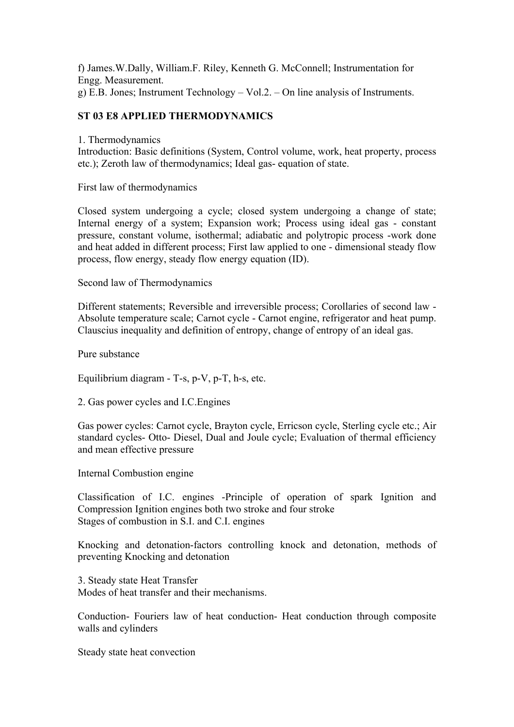f) James.W.Dally, William.F. Riley, Kenneth G. McConnell; Instrumentation for Engg. Measurement. g) E.B. Jones; Instrument Technology – Vol.2. – On line analysis of Instruments.

# **ST 03 E8 APPLIED THERMODYNAMICS**

1. Thermodynamics

Introduction: Basic definitions (System, Control volume, work, heat property, process etc.); Zeroth law of thermodynamics; Ideal gas- equation of state.

First law of thermodynamics

Closed system undergoing a cycle; closed system undergoing a change of state; Internal energy of a system; Expansion work; Process using ideal gas - constant pressure, constant volume, isothermal; adiabatic and polytropic process -work done and heat added in different process; First law applied to one - dimensional steady flow process, flow energy, steady flow energy equation (ID).

Second law of Thermodynamics

Different statements; Reversible and irreversible process; Corollaries of second law - Absolute temperature scale; Carnot cycle - Carnot engine, refrigerator and heat pump. Clauscius inequality and definition of entropy, change of entropy of an ideal gas.

Pure substance

Equilibrium diagram - T-s, p-V, p-T, h-s, etc.

2. Gas power cycles and I.C.Engines

Gas power cycles: Carnot cycle, Brayton cycle, Erricson cycle, Sterling cycle etc.; Air standard cycles- Otto- Diesel, Dual and Joule cycle; Evaluation of thermal efficiency and mean effective pressure

Internal Combustion engine

Classification of I.C. engines -Principle of operation of spark Ignition and Compression Ignition engines both two stroke and four stroke Stages of combustion in S.I. and C.I. engines

Knocking and detonation-factors controlling knock and detonation, methods of preventing Knocking and detonation

3. Steady state Heat Transfer Modes of heat transfer and their mechanisms.

Conduction- Fouriers law of heat conduction- Heat conduction through composite walls and cylinders

Steady state heat convection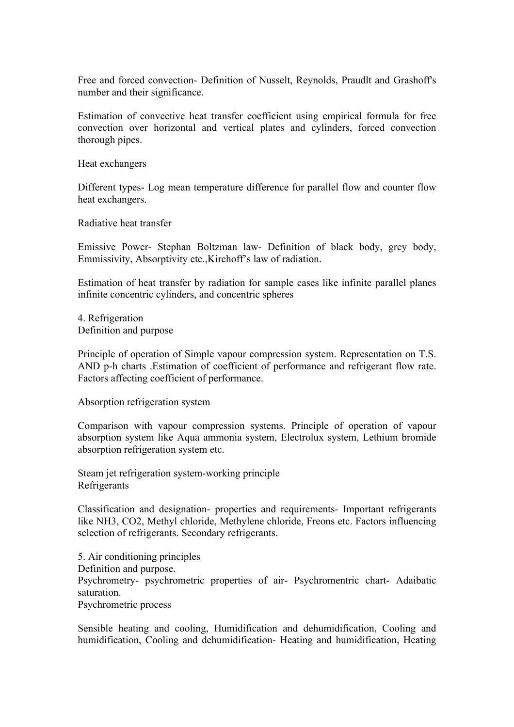Free and forced convection- Definition of Nusselt, Reynolds, Praudlt and Grashoff's number and their significance.

Estimation of convective heat transfer coefficient using empirical formula for free convection over horizontal and vertical plates and cylinders, forced convection thorough pipes.

Heat exchangers

Different types- Log mean temperature difference for parallel flow and counter flow heat exchangers.

Radiative heat transfer

Emissive Power- Stephan Boltzman law- Definition of black body, grey body, Emmissivity, Absorptivity etc.,Kirchoff's law of radiation.

Estimation of heat transfer by radiation for sample cases like infinite parallel planes infinite concentric cylinders, and concentric spheres

4. Refrigeration Definition and purpose

Principle of operation of Simple vapour compression system. Representation on T.S. AND p-h charts .Estimation of coefficient of performance and refrigerant flow rate. Factors affecting coefficient of performance.

Absorption refrigeration system

Comparison with vapour compression systems. Principle of operation of vapour absorption system like Aqua ammonia system, Electrolux system, Lethium bromide absorption refrigeration system etc.

Steam jet refrigeration system-working principle Refrigerants

Classification and designation- properties and requirements- Important refrigerants like NH3, CO2, Methyl chloride, Methylene chloride, Freons etc. Factors influencing selection of refrigerants. Secondary refrigerants.

5. Air conditioning principles Definition and purpose. Psychrometry- psychrometric properties of air- Psychromentric chart- Adaibatic saturation. Psychrometric process

Sensible heating and cooling, Humidification and dehumidification, Cooling and humidification, Cooling and dehumidification- Heating and humidification, Heating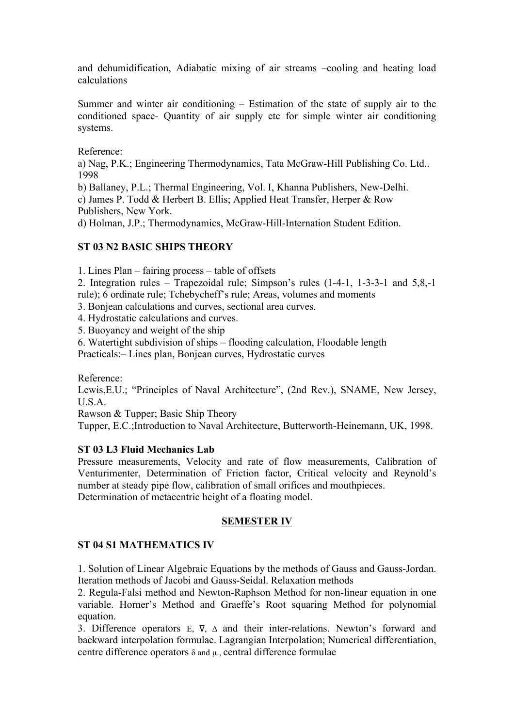and dehumidification, Adiabatic mixing of air streams –cooling and heating load calculations

Summer and winter air conditioning – Estimation of the state of supply air to the conditioned space- Quantity of air supply etc for simple winter air conditioning systems.

Reference:

a) Nag, P.K.; Engineering Thermodynamics, Tata McGraw-Hill Publishing Co. Ltd.. 1998

b) Ballaney, P.L.; Thermal Engineering, Vol. I, Khanna Publishers, New-Delhi.

c) James P. Todd & Herbert B. Ellis; Applied Heat Transfer, Herper & Row Publishers, New York.

d) Holman, J.P.; Thermodynamics, McGraw-Hill-Internation Student Edition.

## **ST 03 N2 BASIC SHIPS THEORY**

1. Lines Plan – fairing process – table of offsets

2. Integration rules – Trapezoidal rule; Simpson's rules (1-4-1, 1-3-3-1 and 5,8,-1 rule); 6 ordinate rule; Tchebycheff's rule; Areas, volumes and moments

3. Bonjean calculations and curves, sectional area curves.

4. Hydrostatic calculations and curves.

5. Buoyancy and weight of the ship

6. Watertight subdivision of ships – flooding calculation, Floodable length

Practicals:– Lines plan, Bonjean curves, Hydrostatic curves

Reference:

Lewis,E.U.; "Principles of Naval Architecture", (2nd Rev.), SNAME, New Jersey, U.S.A.

Rawson & Tupper; Basic Ship Theory

Tupper, E.C.;Introduction to Naval Architecture, Butterworth-Heinemann, UK, 1998.

## **ST 03 L3 Fluid Mechanics Lab**

Pressure measurements, Velocity and rate of flow measurements, Calibration of Venturimenter, Determination of Friction factor, Critical velocity and Reynold's number at steady pipe flow, calibration of small orifices and mouthpieces. Determination of metacentric height of a floating model.

# **SEMESTER IV**

## **ST 04 S1 MATHEMATICS IV**

1. Solution of Linear Algebraic Equations by the methods of Gauss and Gauss-Jordan. Iteration methods of Jacobi and Gauss-Seidal. Relaxation methods

2. Regula-Falsi method and Newton-Raphson Method for non-linear equation in one variable. Horner's Method and Graeffe's Root squaring Method for polynomial equation.

3. Difference operators E, ∇, Δ and their inter-relations. Newton's forward and backward interpolation formulae. Lagrangian Interpolation; Numerical differentiation, centre difference operators  $\delta$  and  $\mu$ ., central difference formulae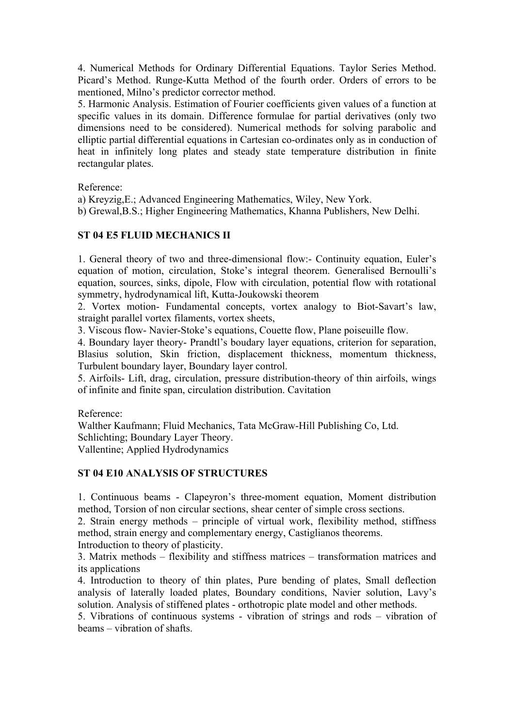4. Numerical Methods for Ordinary Differential Equations. Taylor Series Method. Picard's Method. Runge-Kutta Method of the fourth order. Orders of errors to be mentioned, Milno's predictor corrector method.

5. Harmonic Analysis. Estimation of Fourier coefficients given values of a function at specific values in its domain. Difference formulae for partial derivatives (only two dimensions need to be considered). Numerical methods for solving parabolic and elliptic partial differential equations in Cartesian co-ordinates only as in conduction of heat in infinitely long plates and steady state temperature distribution in finite rectangular plates.

Reference:

a) Kreyzig,E.; Advanced Engineering Mathematics, Wiley, New York.

b) Grewal,B.S.; Higher Engineering Mathematics, Khanna Publishers, New Delhi.

## **ST 04 E5 FLUID MECHANICS II**

1. General theory of two and three-dimensional flow:- Continuity equation, Euler's equation of motion, circulation, Stoke's integral theorem. Generalised Bernoulli's equation, sources, sinks, dipole, Flow with circulation, potential flow with rotational symmetry, hydrodynamical lift, Kutta-Joukowski theorem

2. Vortex motion- Fundamental concepts, vortex analogy to Biot-Savart's law, straight parallel vortex filaments, vortex sheets,

3. Viscous flow- Navier-Stoke's equations, Couette flow, Plane poiseuille flow.

4. Boundary layer theory- Prandtl's boudary layer equations, criterion for separation, Blasius solution, Skin friction, displacement thickness, momentum thickness, Turbulent boundary layer, Boundary layer control.

5. Airfoils- Lift, drag, circulation, pressure distribution-theory of thin airfoils, wings of infinite and finite span, circulation distribution. Cavitation

Reference:

Walther Kaufmann; Fluid Mechanics, Tata McGraw-Hill Publishing Co, Ltd. Schlichting; Boundary Layer Theory. Vallentine; Applied Hydrodynamics

## **ST 04 E10 ANALYSIS OF STRUCTURES**

1. Continuous beams - Clapeyron's three-moment equation, Moment distribution method, Torsion of non circular sections, shear center of simple cross sections.

2. Strain energy methods – principle of virtual work, flexibility method, stiffness method, strain energy and complementary energy, Castiglianos theorems.

Introduction to theory of plasticity.

3. Matrix methods – flexibility and stiffness matrices – transformation matrices and its applications

4. Introduction to theory of thin plates, Pure bending of plates, Small deflection analysis of laterally loaded plates, Boundary conditions, Navier solution, Lavy's solution. Analysis of stiffened plates - orthotropic plate model and other methods.

5. Vibrations of continuous systems - vibration of strings and rods – vibration of beams – vibration of shafts.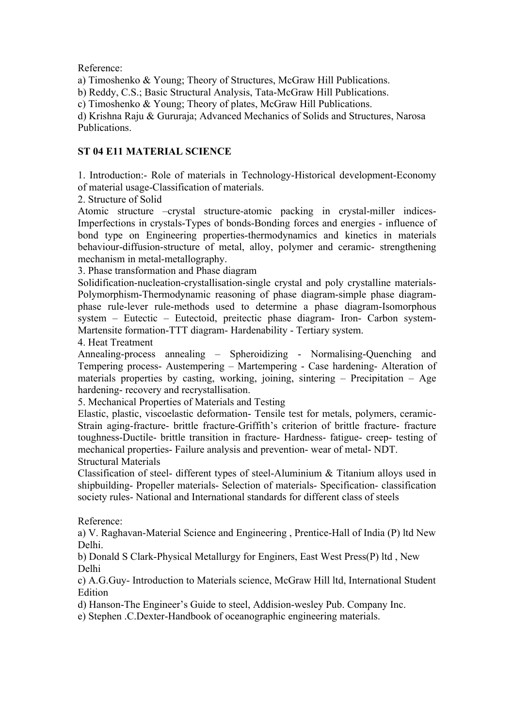Reference:

a) Timoshenko & Young; Theory of Structures, McGraw Hill Publications.

b) Reddy, C.S.; Basic Structural Analysis, Tata-McGraw Hill Publications.

c) Timoshenko & Young; Theory of plates, McGraw Hill Publications.

d) Krishna Raju & Gururaja; Advanced Mechanics of Solids and Structures, Narosa Publications.

# **ST 04 E11 MATERIAL SCIENCE**

1. Introduction:- Role of materials in Technology-Historical development-Economy of material usage-Classification of materials.

2. Structure of Solid

Atomic structure –crystal structure-atomic packing in crystal-miller indices-Imperfections in crystals-Types of bonds-Bonding forces and energies - influence of bond type on Engineering properties-thermodynamics and kinetics in materials behaviour-diffusion-structure of metal, alloy, polymer and ceramic- strengthening mechanism in metal-metallography.

3. Phase transformation and Phase diagram

Solidification-nucleation-crystallisation-single crystal and poly crystalline materials-Polymorphism-Thermodynamic reasoning of phase diagram-simple phase diagramphase rule-lever rule-methods used to determine a phase diagram-Isomorphous system – Eutectic – Eutectoid, preitectic phase diagram- Iron- Carbon system-Martensite formation-TTT diagram- Hardenability - Tertiary system.

4. Heat Treatment

Annealing-process annealing – Spheroidizing - Normalising-Quenching and Tempering process- Austempering – Martempering - Case hardening- Alteration of materials properties by casting, working, joining, sintering – Precipitation – Age hardening- recovery and recrystallisation.

5. Mechanical Properties of Materials and Testing

Elastic, plastic, viscoelastic deformation- Tensile test for metals, polymers, ceramic-Strain aging-fracture- brittle fracture-Griffith's criterion of brittle fracture- fracture toughness-Ductile- brittle transition in fracture- Hardness- fatigue- creep- testing of mechanical properties- Failure analysis and prevention- wear of metal- NDT. Structural Materials

Classification of steel- different types of steel-Aluminium & Titanium alloys used in shipbuilding- Propeller materials- Selection of materials- Specification- classification society rules- National and International standards for different class of steels

## Reference:

a) V. Raghavan-Material Science and Engineering , Prentice-Hall of India (P) ltd New Delhi.

b) Donald S Clark-Physical Metallurgy for Enginers, East West Press(P) ltd , New Delhi

c) A.G.Guy- Introduction to Materials science, McGraw Hill ltd, International Student **Edition** 

d) Hanson-The Engineer's Guide to steel, Addision-wesley Pub. Company Inc.

e) Stephen .C.Dexter-Handbook of oceanographic engineering materials.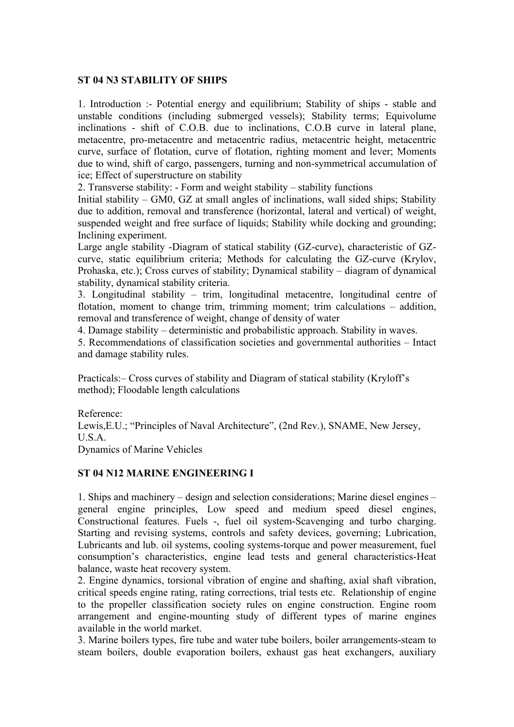## **ST 04 N3 STABILITY OF SHIPS**

1. Introduction :- Potential energy and equilibrium; Stability of ships - stable and unstable conditions (including submerged vessels); Stability terms; Equivolume inclinations - shift of C.O.B. due to inclinations, C.O.B curve in lateral plane, metacentre, pro-metacentre and metacentric radius, metacentric height, metacentric curve, surface of flotation, curve of flotation, righting moment and lever; Moments due to wind, shift of cargo, passengers, turning and non-symmetrical accumulation of ice; Effect of superstructure on stability

2. Transverse stability: - Form and weight stability – stability functions

Initial stability – GM0, GZ at small angles of inclinations, wall sided ships; Stability due to addition, removal and transference (horizontal, lateral and vertical) of weight, suspended weight and free surface of liquids; Stability while docking and grounding; Inclining experiment.

Large angle stability -Diagram of statical stability (GZ-curve), characteristic of GZcurve, static equilibrium criteria; Methods for calculating the GZ-curve (Krylov, Prohaska, etc.); Cross curves of stability; Dynamical stability – diagram of dynamical stability, dynamical stability criteria.

3. Longitudinal stability – trim, longitudinal metacentre, longitudinal centre of flotation, moment to change trim, trimming moment; trim calculations – addition, removal and transference of weight, change of density of water

4. Damage stability – deterministic and probabilistic approach. Stability in waves.

5. Recommendations of classification societies and governmental authorities – Intact and damage stability rules.

Practicals:– Cross curves of stability and Diagram of statical stability (Kryloff's method); Floodable length calculations

Reference: Lewis,E.U.; "Principles of Naval Architecture", (2nd Rev.), SNAME, New Jersey, U.S.A. Dynamics of Marine Vehicles

# **ST 04 N12 MARINE ENGINEERING I**

1. Ships and machinery – design and selection considerations; Marine diesel engines – general engine principles, Low speed and medium speed diesel engines, Constructional features. Fuels -, fuel oil system-Scavenging and turbo charging. Starting and revising systems, controls and safety devices, governing; Lubrication, Lubricants and lub. oil systems, cooling systems-torque and power measurement, fuel consumption's characteristics, engine lead tests and general characteristics-Heat balance, waste heat recovery system.

2. Engine dynamics, torsional vibration of engine and shafting, axial shaft vibration, critical speeds engine rating, rating corrections, trial tests etc. Relationship of engine to the propeller classification society rules on engine construction. Engine room arrangement and engine-mounting study of different types of marine engines available in the world market.

3. Marine boilers types, fire tube and water tube boilers, boiler arrangements-steam to steam boilers, double evaporation boilers, exhaust gas heat exchangers, auxiliary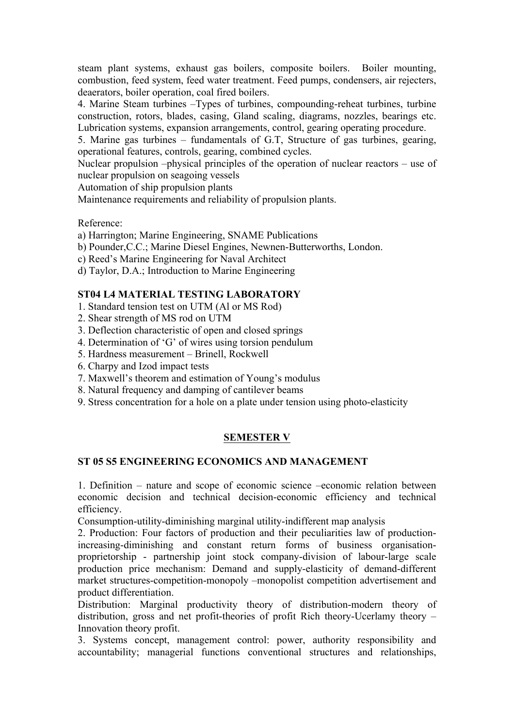steam plant systems, exhaust gas boilers, composite boilers. Boiler mounting, combustion, feed system, feed water treatment. Feed pumps, condensers, air rejecters, deaerators, boiler operation, coal fired boilers.

4. Marine Steam turbines –Types of turbines, compounding-reheat turbines, turbine construction, rotors, blades, casing, Gland scaling, diagrams, nozzles, bearings etc. Lubrication systems, expansion arrangements, control, gearing operating procedure.

5. Marine gas turbines – fundamentals of G.T, Structure of gas turbines, gearing, operational features, controls, gearing, combined cycles.

Nuclear propulsion –physical principles of the operation of nuclear reactors – use of nuclear propulsion on seagoing vessels

Automation of ship propulsion plants

Maintenance requirements and reliability of propulsion plants.

Reference:

- a) Harrington; Marine Engineering, SNAME Publications
- b) Pounder,C.C.; Marine Diesel Engines, Newnen-Butterworths, London.
- c) Reed's Marine Engineering for Naval Architect
- d) Taylor, D.A.; Introduction to Marine Engineering

#### **ST04 L4 MATERIAL TESTING LABORATORY**

- 1. Standard tension test on UTM (Al or MS Rod)
- 2. Shear strength of MS rod on UTM
- 3. Deflection characteristic of open and closed springs
- 4. Determination of 'G' of wires using torsion pendulum
- 5. Hardness measurement Brinell, Rockwell
- 6. Charpy and Izod impact tests
- 7. Maxwell's theorem and estimation of Young's modulus
- 8. Natural frequency and damping of cantilever beams
- 9. Stress concentration for a hole on a plate under tension using photo-elasticity

## **SEMESTER V**

#### **ST 05 S5 ENGINEERING ECONOMICS AND MANAGEMENT**

1. Definition – nature and scope of economic science –economic relation between economic decision and technical decision-economic efficiency and technical efficiency.

Consumption-utility-diminishing marginal utility-indifferent map analysis

2. Production: Four factors of production and their peculiarities law of productionincreasing-diminishing and constant return forms of business organisationproprietorship - partnership joint stock company-division of labour-large scale production price mechanism: Demand and supply-elasticity of demand-different market structures-competition-monopoly –monopolist competition advertisement and product differentiation.

Distribution: Marginal productivity theory of distribution-modern theory of distribution, gross and net profit-theories of profit Rich theory-Ucerlamy theory – Innovation theory profit.

3. Systems concept, management control: power, authority responsibility and accountability; managerial functions conventional structures and relationships,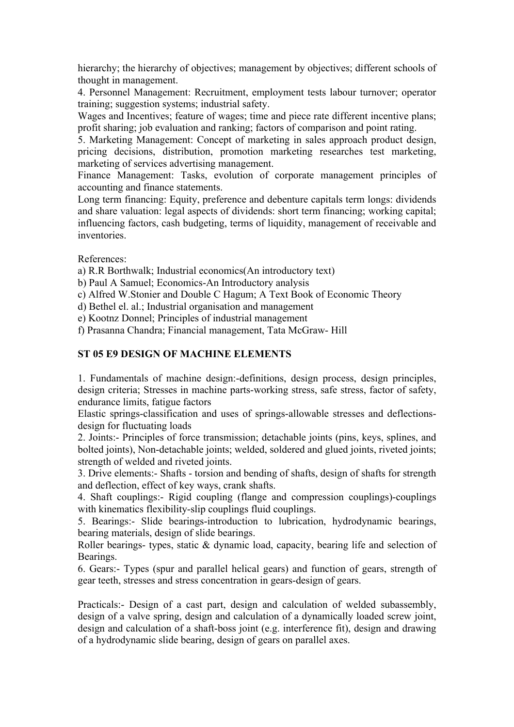hierarchy; the hierarchy of objectives; management by objectives; different schools of thought in management.

4. Personnel Management: Recruitment, employment tests labour turnover; operator training; suggestion systems; industrial safety.

Wages and Incentives; feature of wages; time and piece rate different incentive plans; profit sharing; job evaluation and ranking; factors of comparison and point rating.

5. Marketing Management: Concept of marketing in sales approach product design, pricing decisions, distribution, promotion marketing researches test marketing, marketing of services advertising management.

Finance Management: Tasks, evolution of corporate management principles of accounting and finance statements.

Long term financing: Equity, preference and debenture capitals term longs: dividends and share valuation: legal aspects of dividends: short term financing; working capital; influencing factors, cash budgeting, terms of liquidity, management of receivable and inventories.

References:

a) R.R Borthwalk; Industrial economics(An introductory text)

b) Paul A Samuel; Economics-An Introductory analysis

c) Alfred W.Stonier and Double C Hagum; A Text Book of Economic Theory

d) Bethel el. al.; Industrial organisation and management

e) Kootnz Donnel; Principles of industrial management

f) Prasanna Chandra; Financial management, Tata McGraw- Hill

## **ST 05 E9 DESIGN OF MACHINE ELEMENTS**

1. Fundamentals of machine design:-definitions, design process, design principles, design criteria; Stresses in machine parts-working stress, safe stress, factor of safety, endurance limits, fatigue factors

Elastic springs-classification and uses of springs-allowable stresses and deflectionsdesign for fluctuating loads

2. Joints:- Principles of force transmission; detachable joints (pins, keys, splines, and bolted joints), Non-detachable joints; welded, soldered and glued joints, riveted joints; strength of welded and riveted joints.

3. Drive elements:- Shafts - torsion and bending of shafts, design of shafts for strength and deflection, effect of key ways, crank shafts.

4. Shaft couplings:- Rigid coupling (flange and compression couplings)-couplings with kinematics flexibility-slip couplings fluid couplings.

5. Bearings:- Slide bearings-introduction to lubrication, hydrodynamic bearings, bearing materials, design of slide bearings.

Roller bearings- types, static & dynamic load, capacity, bearing life and selection of Bearings.

6. Gears:- Types (spur and parallel helical gears) and function of gears, strength of gear teeth, stresses and stress concentration in gears-design of gears.

Practicals:- Design of a cast part, design and calculation of welded subassembly, design of a valve spring, design and calculation of a dynamically loaded screw joint, design and calculation of a shaft-boss joint (e.g. interference fit), design and drawing of a hydrodynamic slide bearing, design of gears on parallel axes.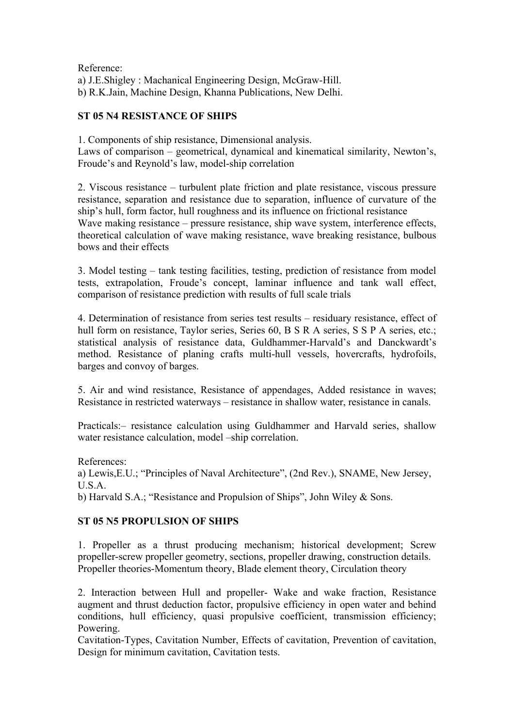Reference: a) J.E.Shigley : Machanical Engineering Design, McGraw-Hill. b) R.K.Jain, Machine Design, Khanna Publications, New Delhi.

# **ST 05 N4 RESISTANCE OF SHIPS**

1. Components of ship resistance, Dimensional analysis. Laws of comparison – geometrical, dynamical and kinematical similarity, Newton's, Froude's and Reynold's law, model-ship correlation

2. Viscous resistance – turbulent plate friction and plate resistance, viscous pressure resistance, separation and resistance due to separation, influence of curvature of the ship's hull, form factor, hull roughness and its influence on frictional resistance Wave making resistance – pressure resistance, ship wave system, interference effects, theoretical calculation of wave making resistance, wave breaking resistance, bulbous bows and their effects

3. Model testing – tank testing facilities, testing, prediction of resistance from model tests, extrapolation, Froude's concept, laminar influence and tank wall effect, comparison of resistance prediction with results of full scale trials

4. Determination of resistance from series test results – residuary resistance, effect of hull form on resistance, Taylor series, Series 60, B S R A series, S S P A series, etc.; statistical analysis of resistance data, Guldhammer-Harvald's and Danckwardt's method. Resistance of planing crafts multi-hull vessels, hovercrafts, hydrofoils, barges and convoy of barges.

5. Air and wind resistance, Resistance of appendages, Added resistance in waves; Resistance in restricted waterways – resistance in shallow water, resistance in canals.

Practicals:– resistance calculation using Guldhammer and Harvald series, shallow water resistance calculation, model –ship correlation.

References:

a) Lewis,E.U.; "Principles of Naval Architecture", (2nd Rev.), SNAME, New Jersey, U.S.A.

b) Harvald S.A.; "Resistance and Propulsion of Ships", John Wiley & Sons.

# **ST 05 N5 PROPULSION OF SHIPS**

1. Propeller as a thrust producing mechanism; historical development; Screw propeller-screw propeller geometry, sections, propeller drawing, construction details. Propeller theories-Momentum theory, Blade element theory, Circulation theory

2. Interaction between Hull and propeller- Wake and wake fraction, Resistance augment and thrust deduction factor, propulsive efficiency in open water and behind conditions, hull efficiency, quasi propulsive coefficient, transmission efficiency; Powering.

Cavitation-Types, Cavitation Number, Effects of cavitation, Prevention of cavitation, Design for minimum cavitation, Cavitation tests.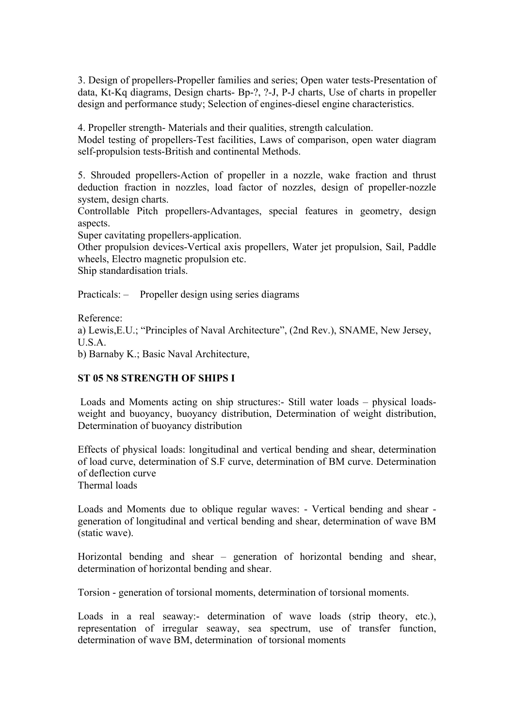3. Design of propellers-Propeller families and series; Open water tests-Presentation of data, Kt-Kq diagrams, Design charts- Bp-?, ?-J, P-J charts, Use of charts in propeller design and performance study; Selection of engines-diesel engine characteristics.

4. Propeller strength- Materials and their qualities, strength calculation.

Model testing of propellers-Test facilities, Laws of comparison, open water diagram self-propulsion tests-British and continental Methods.

5. Shrouded propellers-Action of propeller in a nozzle, wake fraction and thrust deduction fraction in nozzles, load factor of nozzles, design of propeller-nozzle system, design charts.

Controllable Pitch propellers-Advantages, special features in geometry, design aspects.

Super cavitating propellers-application.

Other propulsion devices-Vertical axis propellers, Water jet propulsion, Sail, Paddle wheels, Electro magnetic propulsion etc.

Ship standardisation trials.

Practicals: – Propeller design using series diagrams

Reference:

a) Lewis,E.U.; "Principles of Naval Architecture", (2nd Rev.), SNAME, New Jersey, U.S.A.

b) Barnaby K.; Basic Naval Architecture,

## **ST 05 N8 STRENGTH OF SHIPS I**

Loads and Moments acting on ship structures:- Still water loads – physical loadsweight and buoyancy, buoyancy distribution, Determination of weight distribution, Determination of buoyancy distribution

Effects of physical loads: longitudinal and vertical bending and shear, determination of load curve, determination of S.F curve, determination of BM curve. Determination of deflection curve

Thermal loads

Loads and Moments due to oblique regular waves: - Vertical bending and shear generation of longitudinal and vertical bending and shear, determination of wave BM (static wave).

Horizontal bending and shear – generation of horizontal bending and shear, determination of horizontal bending and shear.

Torsion - generation of torsional moments, determination of torsional moments.

Loads in a real seaway:- determination of wave loads (strip theory, etc.), representation of irregular seaway, sea spectrum, use of transfer function, determination of wave BM, determination of torsional moments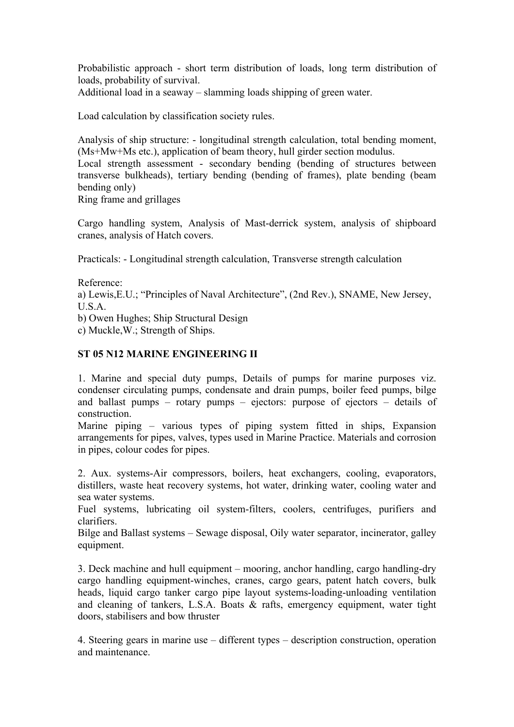Probabilistic approach - short term distribution of loads, long term distribution of loads, probability of survival.

Additional load in a seaway – slamming loads shipping of green water.

Load calculation by classification society rules.

Analysis of ship structure: - longitudinal strength calculation, total bending moment, (Ms+Mw+Ms etc.), application of beam theory, hull girder section modulus.

Local strength assessment - secondary bending (bending of structures between transverse bulkheads), tertiary bending (bending of frames), plate bending (beam bending only)

Ring frame and grillages

Cargo handling system, Analysis of Mast-derrick system, analysis of shipboard cranes, analysis of Hatch covers.

Practicals: - Longitudinal strength calculation, Transverse strength calculation

Reference:

a) Lewis,E.U.; "Principles of Naval Architecture", (2nd Rev.), SNAME, New Jersey, U.S.A.

b) Owen Hughes; Ship Structural Design

c) Muckle,W.; Strength of Ships.

## **ST 05 N12 MARINE ENGINEERING II**

1. Marine and special duty pumps, Details of pumps for marine purposes viz. condenser circulating pumps, condensate and drain pumps, boiler feed pumps, bilge and ballast pumps – rotary pumps – ejectors: purpose of ejectors – details of construction.

Marine piping – various types of piping system fitted in ships, Expansion arrangements for pipes, valves, types used in Marine Practice. Materials and corrosion in pipes, colour codes for pipes.

2. Aux. systems-Air compressors, boilers, heat exchangers, cooling, evaporators, distillers, waste heat recovery systems, hot water, drinking water, cooling water and sea water systems.

Fuel systems, lubricating oil system-filters, coolers, centrifuges, purifiers and clarifiers.

Bilge and Ballast systems – Sewage disposal, Oily water separator, incinerator, galley equipment.

3. Deck machine and hull equipment – mooring, anchor handling, cargo handling-dry cargo handling equipment-winches, cranes, cargo gears, patent hatch covers, bulk heads, liquid cargo tanker cargo pipe layout systems-loading-unloading ventilation and cleaning of tankers, L.S.A. Boats & rafts, emergency equipment, water tight doors, stabilisers and bow thruster

4. Steering gears in marine use – different types – description construction, operation and maintenance.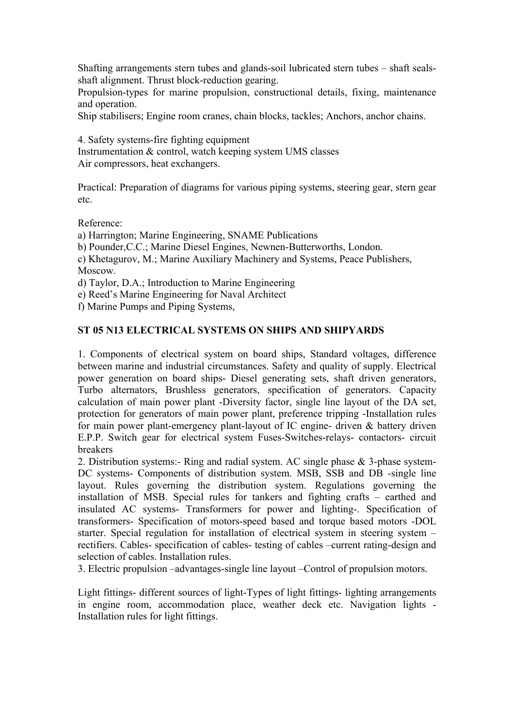Shafting arrangements stern tubes and glands-soil lubricated stern tubes – shaft sealsshaft alignment. Thrust block-reduction gearing.

Propulsion-types for marine propulsion, constructional details, fixing, maintenance and operation.

Ship stabilisers; Engine room cranes, chain blocks, tackles; Anchors, anchor chains.

4. Safety systems-fire fighting equipment Instrumentation & control, watch keeping system UMS classes Air compressors, heat exchangers.

Practical: Preparation of diagrams for various piping systems, steering gear, stern gear etc.

Reference:

a) Harrington; Marine Engineering, SNAME Publications

b) Pounder,C.C.; Marine Diesel Engines, Newnen-Butterworths, London.

c) Khetagurov, M.; Marine Auxiliary Machinery and Systems, Peace Publishers, Moscow.

d) Taylor, D.A.; Introduction to Marine Engineering

e) Reed's Marine Engineering for Naval Architect

f) Marine Pumps and Piping Systems,

## **ST 05 N13 ELECTRICAL SYSTEMS ON SHIPS AND SHIPYARDS**

1. Components of electrical system on board ships, Standard voltages, difference between marine and industrial circumstances. Safety and quality of supply. Electrical power generation on board ships- Diesel generating sets, shaft driven generators, Turbo alternators, Brushless generators, specification of generators. Capacity calculation of main power plant -Diversity factor, single line layout of the DA set, protection for generators of main power plant, preference tripping -Installation rules for main power plant-emergency plant-layout of IC engine- driven & battery driven E.P.P. Switch gear for electrical system Fuses-Switches-relays- contactors- circuit breakers

2. Distribution systems:- Ring and radial system. AC single phase & 3-phase system-DC systems- Components of distribution system. MSB, SSB and DB -single line layout. Rules governing the distribution system. Regulations governing the installation of MSB. Special rules for tankers and fighting crafts – earthed and insulated AC systems- Transformers for power and lighting-. Specification of transformers- Specification of motors-speed based and torque based motors -DOL starter. Special regulation for installation of electrical system in steering system – rectifiers. Cables- specification of cables- testing of cables –current rating-design and selection of cables. Installation rules.

3. Electric propulsion –advantages-single line layout –Control of propulsion motors.

Light fittings- different sources of light-Types of light fittings- lighting arrangements in engine room, accommodation place, weather deck etc. Navigation lights - Installation rules for light fittings.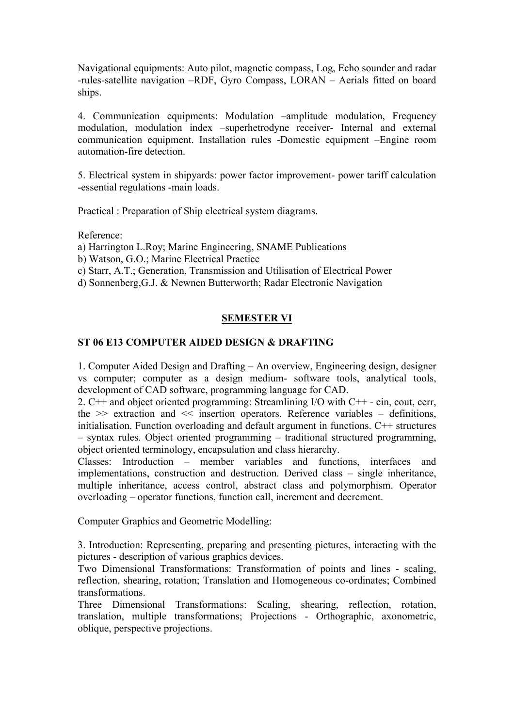Navigational equipments: Auto pilot, magnetic compass, Log, Echo sounder and radar -rules-satellite navigation –RDF, Gyro Compass, LORAN – Aerials fitted on board ships.

4. Communication equipments: Modulation –amplitude modulation, Frequency modulation, modulation index –superhetrodyne receiver- Internal and external communication equipment. Installation rules -Domestic equipment –Engine room automation-fire detection.

5. Electrical system in shipyards: power factor improvement- power tariff calculation -essential regulations -main loads.

Practical : Preparation of Ship electrical system diagrams.

Reference:

a) Harrington L.Roy; Marine Engineering, SNAME Publications

b) Watson, G.O.; Marine Electrical Practice

c) Starr, A.T.; Generation, Transmission and Utilisation of Electrical Power

d) Sonnenberg,G.J. & Newnen Butterworth; Radar Electronic Navigation

## **SEMESTER VI**

#### **ST 06 E13 COMPUTER AIDED DESIGN & DRAFTING**

1. Computer Aided Design and Drafting – An overview, Engineering design, designer vs computer; computer as a design medium- software tools, analytical tools, development of CAD software, programming language for CAD.

2. C++ and object oriented programming: Streamlining I/O with C++ - cin, cout, cerr, the  $\gg$  extraction and  $\ll$  insertion operators. Reference variables – definitions, initialisation. Function overloading and default argument in functions. C++ structures – syntax rules. Object oriented programming – traditional structured programming, object oriented terminology, encapsulation and class hierarchy.

Classes: Introduction – member variables and functions, interfaces and implementations, construction and destruction. Derived class – single inheritance, multiple inheritance, access control, abstract class and polymorphism. Operator overloading – operator functions, function call, increment and decrement.

Computer Graphics and Geometric Modelling:

3. Introduction: Representing, preparing and presenting pictures, interacting with the pictures - description of various graphics devices.

Two Dimensional Transformations: Transformation of points and lines - scaling, reflection, shearing, rotation; Translation and Homogeneous co-ordinates; Combined transformations.

Three Dimensional Transformations: Scaling, shearing, reflection, rotation, translation, multiple transformations; Projections - Orthographic, axonometric, oblique, perspective projections.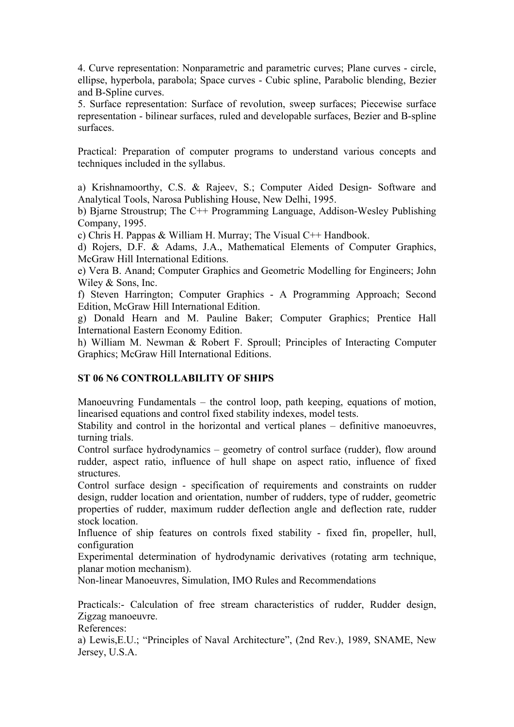4. Curve representation: Nonparametric and parametric curves; Plane curves - circle, ellipse, hyperbola, parabola; Space curves - Cubic spline, Parabolic blending, Bezier and B-Spline curves.

5. Surface representation: Surface of revolution, sweep surfaces; Piecewise surface representation - bilinear surfaces, ruled and developable surfaces, Bezier and B-spline surfaces.

Practical: Preparation of computer programs to understand various concepts and techniques included in the syllabus.

a) Krishnamoorthy, C.S. & Rajeev, S.; Computer Aided Design- Software and Analytical Tools, Narosa Publishing House, New Delhi, 1995.

b) Bjarne Stroustrup; The C++ Programming Language, Addison-Wesley Publishing Company, 1995.

c) Chris H. Pappas & William H. Murray; The Visual C++ Handbook.

d) Rojers, D.F. & Adams, J.A., Mathematical Elements of Computer Graphics, McGraw Hill International Editions.

e) Vera B. Anand; Computer Graphics and Geometric Modelling for Engineers; John Wiley & Sons, Inc.

f) Steven Harrington; Computer Graphics - A Programming Approach; Second Edition, McGraw Hill International Edition.

g) Donald Hearn and M. Pauline Baker; Computer Graphics; Prentice Hall International Eastern Economy Edition.

h) William M. Newman & Robert F. Sproull; Principles of Interacting Computer Graphics; McGraw Hill International Editions.

# **ST 06 N6 CONTROLLABILITY OF SHIPS**

Manoeuvring Fundamentals – the control loop, path keeping, equations of motion, linearised equations and control fixed stability indexes, model tests.

Stability and control in the horizontal and vertical planes – definitive manoeuvres, turning trials.

Control surface hydrodynamics – geometry of control surface (rudder), flow around rudder, aspect ratio, influence of hull shape on aspect ratio, influence of fixed structures.

Control surface design - specification of requirements and constraints on rudder design, rudder location and orientation, number of rudders, type of rudder, geometric properties of rudder, maximum rudder deflection angle and deflection rate, rudder stock location.

Influence of ship features on controls fixed stability - fixed fin, propeller, hull, configuration

Experimental determination of hydrodynamic derivatives (rotating arm technique, planar motion mechanism).

Non-linear Manoeuvres, Simulation, IMO Rules and Recommendations

Practicals:- Calculation of free stream characteristics of rudder, Rudder design, Zigzag manoeuvre.

References:

a) Lewis,E.U.; "Principles of Naval Architecture", (2nd Rev.), 1989, SNAME, New Jersey, U.S.A.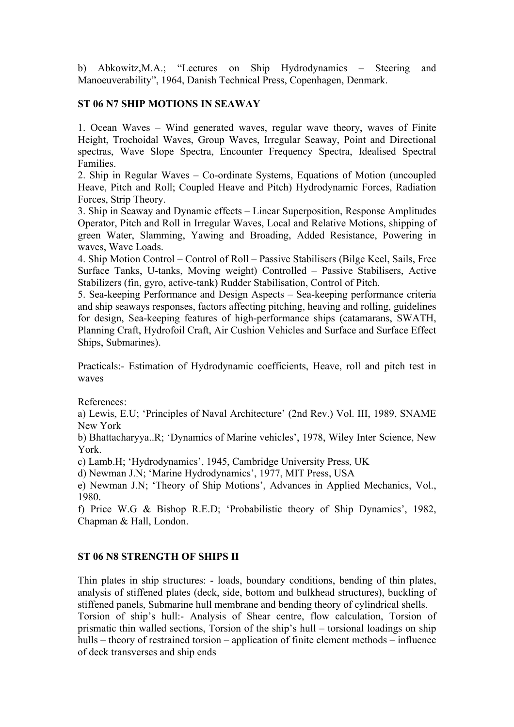b) Abkowitz,M.A.; "Lectures on Ship Hydrodynamics – Steering and Manoeuverability", 1964, Danish Technical Press, Copenhagen, Denmark.

## **ST 06 N7 SHIP MOTIONS IN SEAWAY**

1. Ocean Waves – Wind generated waves, regular wave theory, waves of Finite Height, Trochoidal Waves, Group Waves, Irregular Seaway, Point and Directional spectras, Wave Slope Spectra, Encounter Frequency Spectra, Idealised Spectral Families.

2. Ship in Regular Waves – Co-ordinate Systems, Equations of Motion (uncoupled Heave, Pitch and Roll; Coupled Heave and Pitch) Hydrodynamic Forces, Radiation Forces, Strip Theory.

3. Ship in Seaway and Dynamic effects – Linear Superposition, Response Amplitudes Operator, Pitch and Roll in Irregular Waves, Local and Relative Motions, shipping of green Water, Slamming, Yawing and Broading, Added Resistance, Powering in waves, Wave Loads.

4. Ship Motion Control – Control of Roll – Passive Stabilisers (Bilge Keel, Sails, Free Surface Tanks, U-tanks, Moving weight) Controlled – Passive Stabilisers, Active Stabilizers (fin, gyro, active-tank) Rudder Stabilisation, Control of Pitch.

5. Sea-keeping Performance and Design Aspects – Sea-keeping performance criteria and ship seaways responses, factors affecting pitching, heaving and rolling, guidelines for design, Sea-keeping features of high-performance ships (catamarans, SWATH, Planning Craft, Hydrofoil Craft, Air Cushion Vehicles and Surface and Surface Effect Ships, Submarines).

Practicals:- Estimation of Hydrodynamic coefficients, Heave, roll and pitch test in waves

References:

a) Lewis, E.U; 'Principles of Naval Architecture' (2nd Rev.) Vol. III, 1989, SNAME New York

b) Bhattacharyya..R; 'Dynamics of Marine vehicles', 1978, Wiley Inter Science, New York.

c) Lamb.H; 'Hydrodynamics', 1945, Cambridge University Press, UK

d) Newman J.N; 'Marine Hydrodynamics', 1977, MIT Press, USA

e) Newman J.N; 'Theory of Ship Motions', Advances in Applied Mechanics, Vol., 1980.

f) Price W.G & Bishop R.E.D; 'Probabilistic theory of Ship Dynamics', 1982, Chapman & Hall, London.

# **ST 06 N8 STRENGTH OF SHIPS II**

Thin plates in ship structures: - loads, boundary conditions, bending of thin plates, analysis of stiffened plates (deck, side, bottom and bulkhead structures), buckling of stiffened panels, Submarine hull membrane and bending theory of cylindrical shells. Torsion of ship's hull:- Analysis of Shear centre, flow calculation, Torsion of prismatic thin walled sections, Torsion of the ship's hull – torsional loadings on ship hulls – theory of restrained torsion – application of finite element methods – influence of deck transverses and ship ends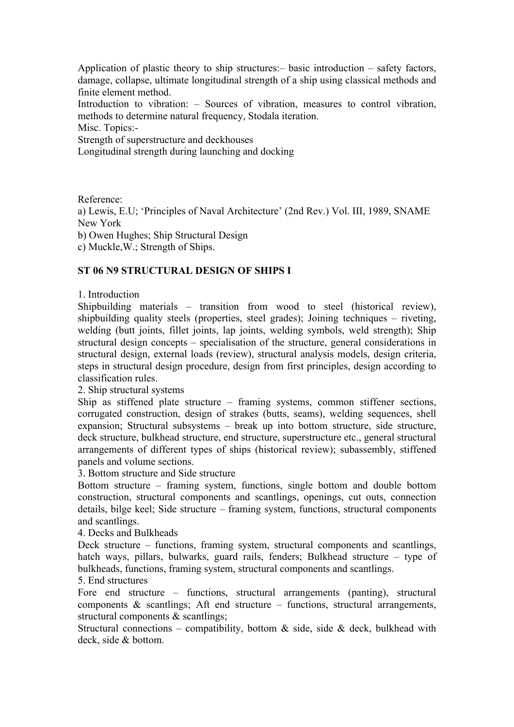Application of plastic theory to ship structures:– basic introduction – safety factors, damage, collapse, ultimate longitudinal strength of a ship using classical methods and finite element method.

Introduction to vibration: – Sources of vibration, measures to control vibration, methods to determine natural frequency, Stodala iteration.

Misc. Topics:-

Strength of superstructure and deckhouses

Longitudinal strength during launching and docking

Reference:

a) Lewis, E.U; 'Principles of Naval Architecture' (2nd Rev.) Vol. III, 1989, SNAME New York

b) Owen Hughes; Ship Structural Design

c) Muckle,W.; Strength of Ships.

## **ST 06 N9 STRUCTURAL DESIGN OF SHIPS I**

1. Introduction

Shipbuilding materials – transition from wood to steel (historical review), shipbuilding quality steels (properties, steel grades); Joining techniques – riveting, welding (butt joints, fillet joints, lap joints, welding symbols, weld strength); Ship structural design concepts – specialisation of the structure, general considerations in structural design, external loads (review), structural analysis models, design criteria, steps in structural design procedure, design from first principles, design according to classification rules.

2. Ship structural systems

Ship as stiffened plate structure – framing systems, common stiffener sections, corrugated construction, design of strakes (butts, seams), welding sequences, shell expansion; Structural subsystems – break up into bottom structure, side structure, deck structure, bulkhead structure, end structure, superstructure etc., general structural arrangements of different types of ships (historical review); subassembly, stiffened panels and volume sections.

3. Bottom structure and Side structure

Bottom structure – framing system, functions, single bottom and double bottom construction, structural components and scantlings, openings, cut outs, connection details, bilge keel; Side structure – framing system, functions, structural components and scantlings.

#### 4. Decks and Bulkheads

Deck structure – functions, framing system, structural components and scantlings, hatch ways, pillars, bulwarks, guard rails, fenders; Bulkhead structure – type of bulkheads, functions, framing system, structural components and scantlings.

5. End structures

Fore end structure – functions, structural arrangements (panting), structural components  $\&$  scantlings; Aft end structure – functions, structural arrangements, structural components & scantlings;

Structural connections – compatibility, bottom  $\&$  side, side  $\&$  deck, bulkhead with deck, side & bottom.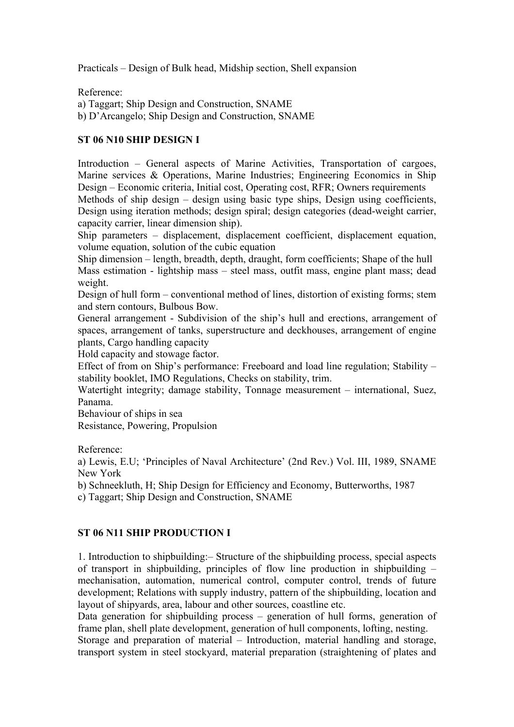Practicals – Design of Bulk head, Midship section, Shell expansion

Reference:

a) Taggart; Ship Design and Construction, SNAME

b) D'Arcangelo; Ship Design and Construction, SNAME

# **ST 06 N10 SHIP DESIGN I**

Introduction – General aspects of Marine Activities, Transportation of cargoes, Marine services & Operations, Marine Industries; Engineering Economics in Ship Design – Economic criteria, Initial cost, Operating cost, RFR; Owners requirements Methods of ship design – design using basic type ships, Design using coefficients, Design using iteration methods; design spiral; design categories (dead-weight carrier, capacity carrier, linear dimension ship).

Ship parameters – displacement, displacement coefficient, displacement equation, volume equation, solution of the cubic equation

Ship dimension – length, breadth, depth, draught, form coefficients; Shape of the hull Mass estimation - lightship mass – steel mass, outfit mass, engine plant mass; dead weight.

Design of hull form – conventional method of lines, distortion of existing forms; stem and stern contours, Bulbous Bow.

General arrangement - Subdivision of the ship's hull and erections, arrangement of spaces, arrangement of tanks, superstructure and deckhouses, arrangement of engine plants, Cargo handling capacity

Hold capacity and stowage factor.

Effect of from on Ship's performance: Freeboard and load line regulation; Stability – stability booklet, IMO Regulations, Checks on stability, trim.

Watertight integrity; damage stability, Tonnage measurement – international, Suez, Panama.

Behaviour of ships in sea

Resistance, Powering, Propulsion

Reference:

a) Lewis, E.U; 'Principles of Naval Architecture' (2nd Rev.) Vol. III, 1989, SNAME New York

b) Schneekluth, H; Ship Design for Efficiency and Economy, Butterworths, 1987

c) Taggart; Ship Design and Construction, SNAME

# **ST 06 N11 SHIP PRODUCTION I**

1. Introduction to shipbuilding:– Structure of the shipbuilding process, special aspects of transport in shipbuilding, principles of flow line production in shipbuilding – mechanisation, automation, numerical control, computer control, trends of future development; Relations with supply industry, pattern of the shipbuilding, location and layout of shipyards, area, labour and other sources, coastline etc.

Data generation for shipbuilding process – generation of hull forms, generation of frame plan, shell plate development, generation of hull components, lofting, nesting.

Storage and preparation of material – Introduction, material handling and storage, transport system in steel stockyard, material preparation (straightening of plates and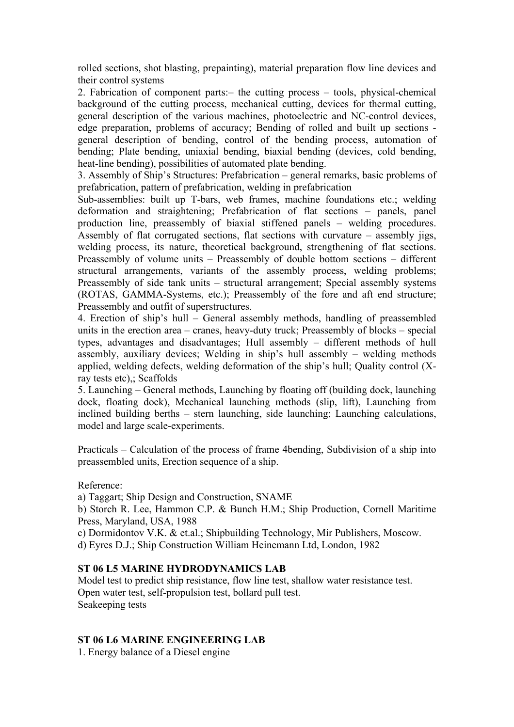rolled sections, shot blasting, prepainting), material preparation flow line devices and their control systems

2. Fabrication of component parts:– the cutting process – tools, physical-chemical background of the cutting process, mechanical cutting, devices for thermal cutting, general description of the various machines, photoelectric and NC-control devices, edge preparation, problems of accuracy; Bending of rolled and built up sections general description of bending, control of the bending process, automation of bending; Plate bending, uniaxial bending, biaxial bending (devices, cold bending, heat-line bending), possibilities of automated plate bending.

3. Assembly of Ship's Structures: Prefabrication – general remarks, basic problems of prefabrication, pattern of prefabrication, welding in prefabrication

Sub-assemblies: built up T-bars, web frames, machine foundations etc.; welding deformation and straightening; Prefabrication of flat sections – panels, panel production line, preassembly of biaxial stiffened panels – welding procedures. Assembly of flat corrugated sections, flat sections with curvature – assembly jigs, welding process, its nature, theoretical background, strengthening of flat sections. Preassembly of volume units – Preassembly of double bottom sections – different structural arrangements, variants of the assembly process, welding problems; Preassembly of side tank units – structural arrangement; Special assembly systems (ROTAS, GAMMA-Systems, etc.); Preassembly of the fore and aft end structure; Preassembly and outfit of superstructures.

4. Erection of ship's hull – General assembly methods, handling of preassembled units in the erection area – cranes, heavy-duty truck; Preassembly of blocks – special types, advantages and disadvantages; Hull assembly – different methods of hull assembly, auxiliary devices; Welding in ship's hull assembly – welding methods applied, welding defects, welding deformation of the ship's hull; Quality control (Xray tests etc),; Scaffolds

5. Launching – General methods, Launching by floating off (building dock, launching dock, floating dock), Mechanical launching methods (slip, lift), Launching from inclined building berths – stern launching, side launching; Launching calculations, model and large scale-experiments.

Practicals – Calculation of the process of frame 4bending, Subdivision of a ship into preassembled units, Erection sequence of a ship.

Reference:

a) Taggart; Ship Design and Construction, SNAME

b) Storch R. Lee, Hammon C.P. & Bunch H.M.; Ship Production, Cornell Maritime Press, Maryland, USA, 1988

c) Dormidontov V.K. & et.al.; Shipbuilding Technology, Mir Publishers, Moscow.

d) Eyres D.J.; Ship Construction William Heinemann Ltd, London, 1982

# **ST 06 L5 MARINE HYDRODYNAMICS LAB**

Model test to predict ship resistance, flow line test, shallow water resistance test. Open water test, self-propulsion test, bollard pull test. Seakeeping tests

# **ST 06 L6 MARINE ENGINEERING LAB**

1. Energy balance of a Diesel engine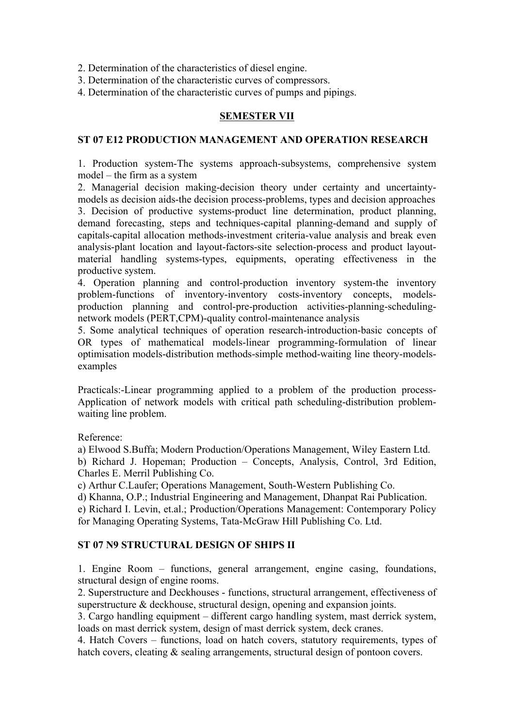2. Determination of the characteristics of diesel engine.

3. Determination of the characteristic curves of compressors.

4. Determination of the characteristic curves of pumps and pipings.

## **SEMESTER VII**

## **ST 07 E12 PRODUCTION MANAGEMENT AND OPERATION RESEARCH**

1. Production system-The systems approach-subsystems, comprehensive system model – the firm as a system

2. Managerial decision making-decision theory under certainty and uncertaintymodels as decision aids-the decision process-problems, types and decision approaches 3. Decision of productive systems-product line determination, product planning, demand forecasting, steps and techniques-capital planning-demand and supply of capitals-capital allocation methods-investment criteria-value analysis and break even analysis-plant location and layout-factors-site selection-process and product layoutmaterial handling systems-types, equipments, operating effectiveness in the productive system.

4. Operation planning and control-production inventory system-the inventory problem-functions of inventory-inventory costs-inventory concepts, modelsproduction planning and control-pre-production activities-planning-schedulingnetwork models (PERT,CPM)-quality control-maintenance analysis

5. Some analytical techniques of operation research-introduction-basic concepts of OR types of mathematical models-linear programming-formulation of linear optimisation models-distribution methods-simple method-waiting line theory-modelsexamples

Practicals:-Linear programming applied to a problem of the production process-Application of network models with critical path scheduling-distribution problemwaiting line problem.

Reference:

a) Elwood S.Buffa; Modern Production/Operations Management, Wiley Eastern Ltd. b) Richard J. Hopeman; Production – Concepts, Analysis, Control, 3rd Edition, Charles E. Merril Publishing Co.

c) Arthur C.Laufer; Operations Management, South-Western Publishing Co.

d) Khanna, O.P.; Industrial Engineering and Management, Dhanpat Rai Publication.

e) Richard I. Levin, et.al.; Production/Operations Management: Contemporary Policy for Managing Operating Systems, Tata-McGraw Hill Publishing Co. Ltd.

# **ST 07 N9 STRUCTURAL DESIGN OF SHIPS II**

1. Engine Room – functions, general arrangement, engine casing, foundations, structural design of engine rooms.

2. Superstructure and Deckhouses - functions, structural arrangement, effectiveness of superstructure & deckhouse, structural design, opening and expansion joints.

3. Cargo handling equipment – different cargo handling system, mast derrick system, loads on mast derrick system, design of mast derrick system, deck cranes.

4. Hatch Covers – functions, load on hatch covers, statutory requirements, types of hatch covers, cleating  $\&$  sealing arrangements, structural design of pontoon covers.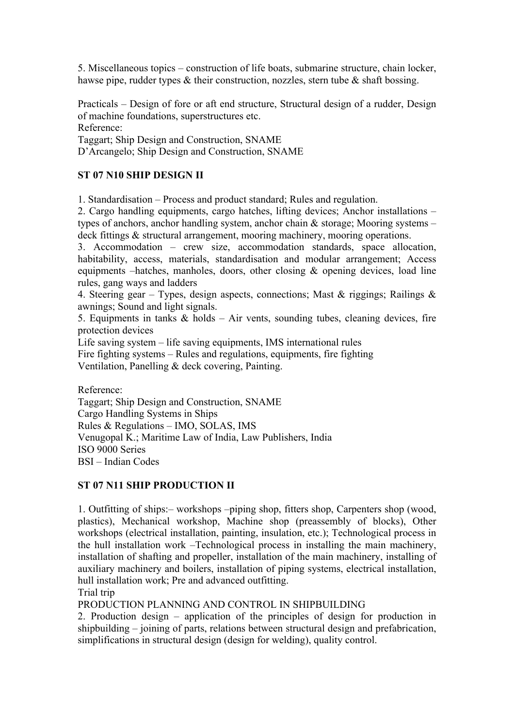5. Miscellaneous topics – construction of life boats, submarine structure, chain locker, hawse pipe, rudder types & their construction, nozzles, stern tube & shaft bossing.

Practicals – Design of fore or aft end structure, Structural design of a rudder, Design of machine foundations, superstructures etc. Reference:

Taggart; Ship Design and Construction, SNAME D'Arcangelo; Ship Design and Construction, SNAME

# **ST 07 N10 SHIP DESIGN II**

1. Standardisation – Process and product standard; Rules and regulation.

2. Cargo handling equipments, cargo hatches, lifting devices; Anchor installations – types of anchors, anchor handling system, anchor chain & storage; Mooring systems – deck fittings  $\&$  structural arrangement, mooring machinery, mooring operations.

3. Accommodation – crew size, accommodation standards, space allocation, habitability, access, materials, standardisation and modular arrangement; Access equipments –hatches, manholes, doors, other closing  $\&$  opening devices, load line rules, gang ways and ladders

4. Steering gear – Types, design aspects, connections; Mast & riggings; Railings & awnings; Sound and light signals.

5. Equipments in tanks  $\&$  holds – Air vents, sounding tubes, cleaning devices, fire protection devices

Life saving system – life saving equipments, IMS international rules Fire fighting systems – Rules and regulations, equipments, fire fighting Ventilation, Panelling & deck covering, Painting.

Reference:

Taggart; Ship Design and Construction, SNAME Cargo Handling Systems in Ships Rules & Regulations – IMO, SOLAS, IMS Venugopal K.; Maritime Law of India, Law Publishers, India ISO 9000 Series BSI – Indian Codes

# **ST 07 N11 SHIP PRODUCTION II**

1. Outfitting of ships:– workshops –piping shop, fitters shop, Carpenters shop (wood, plastics), Mechanical workshop, Machine shop (preassembly of blocks), Other workshops (electrical installation, painting, insulation, etc.); Technological process in the hull installation work –Technological process in installing the main machinery, installation of shafting and propeller, installation of the main machinery, installing of auxiliary machinery and boilers, installation of piping systems, electrical installation, hull installation work; Pre and advanced outfitting.

Trial trip

PRODUCTION PLANNING AND CONTROL IN SHIPBUILDING

2. Production design – application of the principles of design for production in shipbuilding – joining of parts, relations between structural design and prefabrication, simplifications in structural design (design for welding), quality control.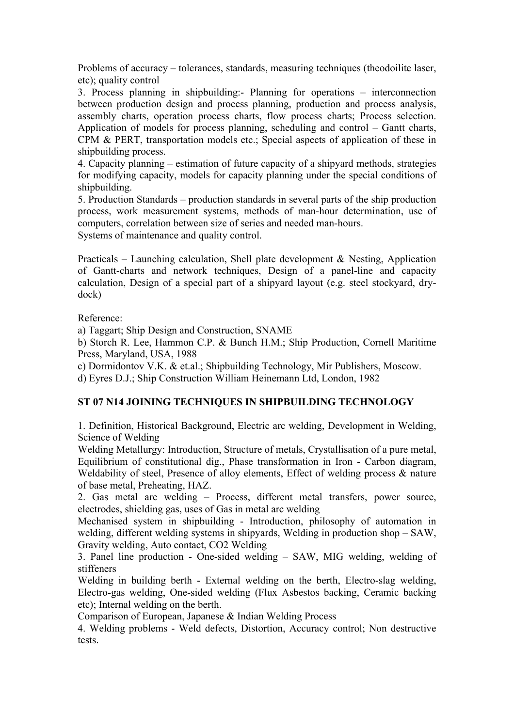Problems of accuracy – tolerances, standards, measuring techniques (theodoilite laser, etc); quality control

3. Process planning in shipbuilding:- Planning for operations – interconnection between production design and process planning, production and process analysis, assembly charts, operation process charts, flow process charts; Process selection. Application of models for process planning, scheduling and control – Gantt charts, CPM & PERT, transportation models etc.; Special aspects of application of these in shipbuilding process.

4. Capacity planning – estimation of future capacity of a shipyard methods, strategies for modifying capacity, models for capacity planning under the special conditions of shipbuilding.

5. Production Standards – production standards in several parts of the ship production process, work measurement systems, methods of man-hour determination, use of computers, correlation between size of series and needed man-hours. Systems of maintenance and quality control.

Practicals – Launching calculation, Shell plate development  $\&$  Nesting, Application of Gantt-charts and network techniques, Design of a panel-line and capacity calculation, Design of a special part of a shipyard layout (e.g. steel stockyard, drydock)

Reference:

a) Taggart; Ship Design and Construction, SNAME

b) Storch R. Lee, Hammon C.P. & Bunch H.M.; Ship Production, Cornell Maritime Press, Maryland, USA, 1988

c) Dormidontov V.K. & et.al.; Shipbuilding Technology, Mir Publishers, Moscow.

d) Eyres D.J.; Ship Construction William Heinemann Ltd, London, 1982

# **ST 07 N14 JOINING TECHNIQUES IN SHIPBUILDING TECHNOLOGY**

1. Definition, Historical Background, Electric arc welding, Development in Welding, Science of Welding

Welding Metallurgy: Introduction, Structure of metals, Crystallisation of a pure metal, Equilibrium of constitutional dig., Phase transformation in Iron - Carbon diagram, Weldability of steel, Presence of alloy elements, Effect of welding process & nature of base metal, Preheating, HAZ.

2. Gas metal arc welding – Process, different metal transfers, power source, electrodes, shielding gas, uses of Gas in metal arc welding

Mechanised system in shipbuilding - Introduction, philosophy of automation in welding, different welding systems in shipyards, Welding in production shop – SAW, Gravity welding, Auto contact, CO2 Welding

3. Panel line production - One-sided welding – SAW, MIG welding, welding of stiffeners

Welding in building berth - External welding on the berth, Electro-slag welding, Electro-gas welding, One-sided welding (Flux Asbestos backing, Ceramic backing etc); Internal welding on the berth.

Comparison of European, Japanese & Indian Welding Process

4. Welding problems - Weld defects, Distortion, Accuracy control; Non destructive tests.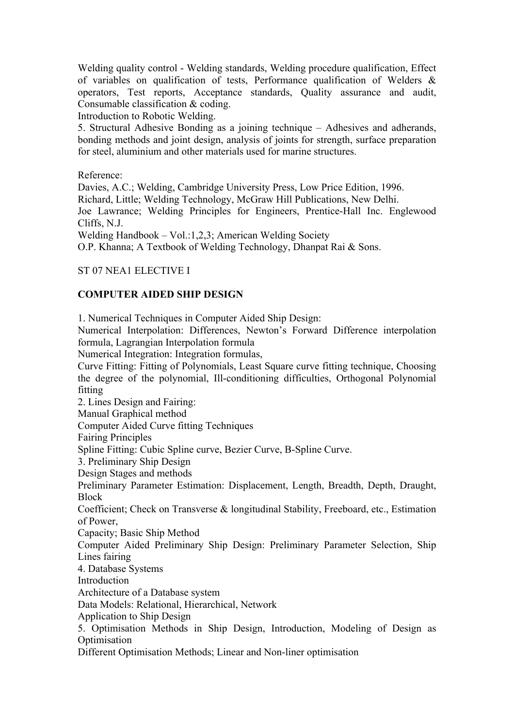Welding quality control - Welding standards, Welding procedure qualification, Effect of variables on qualification of tests, Performance qualification of Welders & operators, Test reports, Acceptance standards, Quality assurance and audit, Consumable classification & coding.

Introduction to Robotic Welding.

5. Structural Adhesive Bonding as a joining technique – Adhesives and adherands, bonding methods and joint design, analysis of joints for strength, surface preparation for steel, aluminium and other materials used for marine structures.

Reference:

Davies, A.C.; Welding, Cambridge University Press, Low Price Edition, 1996. Richard, Little; Welding Technology, McGraw Hill Publications, New Delhi. Joe Lawrance; Welding Principles for Engineers, Prentice-Hall Inc. Englewood Cliffs, N.J.

Welding Handbook – Vol.:1,2,3; American Welding Society

O.P. Khanna; A Textbook of Welding Technology, Dhanpat Rai & Sons.

ST 07 NEA1 ELECTIVE I

# **COMPUTER AIDED SHIP DESIGN**

1. Numerical Techniques in Computer Aided Ship Design:

Numerical Interpolation: Differences, Newton's Forward Difference interpolation formula, Lagrangian Interpolation formula

Numerical Integration: Integration formulas,

Curve Fitting: Fitting of Polynomials, Least Square curve fitting technique, Choosing the degree of the polynomial, Ill-conditioning difficulties, Orthogonal Polynomial fitting

2. Lines Design and Fairing:

Manual Graphical method

Computer Aided Curve fitting Techniques

Fairing Principles

Spline Fitting: Cubic Spline curve, Bezier Curve, B-Spline Curve.

3. Preliminary Ship Design

Design Stages and methods

Preliminary Parameter Estimation: Displacement, Length, Breadth, Depth, Draught, Block

Coefficient; Check on Transverse & longitudinal Stability, Freeboard, etc., Estimation of Power,

Capacity; Basic Ship Method

Computer Aided Preliminary Ship Design: Preliminary Parameter Selection, Ship Lines fairing

4. Database Systems

Introduction

Architecture of a Database system

Data Models: Relational, Hierarchical, Network

Application to Ship Design

5. Optimisation Methods in Ship Design, Introduction, Modeling of Design as **Optimisation** 

Different Optimisation Methods; Linear and Non-liner optimisation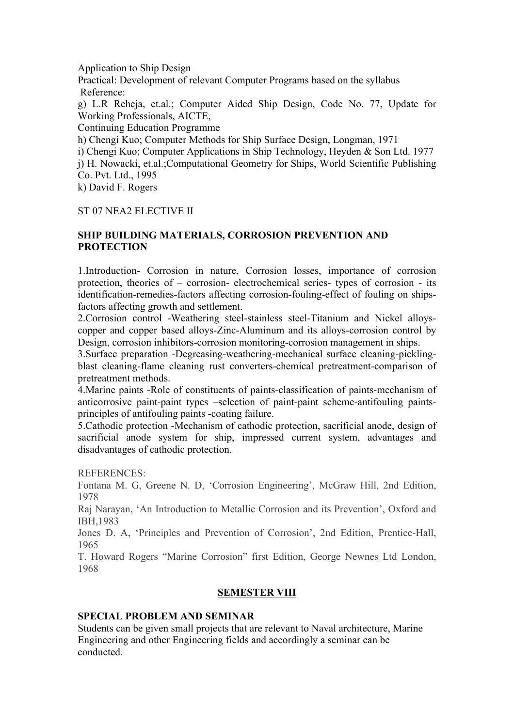Application to Ship Design

Practical: Development of relevant Computer Programs based on the syllabus Reference:

g) L.R Reheja, et.al.; Computer Aided Ship Design, Code No. 77, Update for Working Professionals, AICTE,

Continuing Education Programme

h) Chengi Kuo; Computer Methods for Ship Surface Design, Longman, 1971

i) Chengi Kuo; Computer Applications in Ship Technology, Heyden & Son Ltd. 1977

j) H. Nowacki, et.al.;Computational Geometry for Ships, World Scientific Publishing Co. Pvt. Ltd., 1995

k) David F. Rogers

## ST 07 NEA2 ELECTIVE II

# **SHIP BUILDING MATERIALS, CORROSION PREVENTION AND PROTECTION**

1.Introduction- Corrosion in nature, Corrosion losses, importance of corrosion protection, theories of – corrosion- electrochemical series- types of corrosion - its identification-remedies-factors affecting corrosion-fouling-effect of fouling on shipsfactors affecting growth and settlement.

2.Corrosion control -Weathering steel-stainless steel-Titanium and Nickel alloyscopper and copper based alloys-Zinc-Aluminum and its alloys-corrosion control by Design, corrosion inhibitors-corrosion monitoring-corrosion management in ships.

3.Surface preparation -Degreasing-weathering-mechanical surface cleaning-picklingblast cleaning-flame cleaning rust converters-chemical pretreatment-comparison of pretreatment methods.

4.Marine paints -Role of constituents of paints-classification of paints-mechanism of anticorrosive paint-paint types –selection of paint-paint scheme-antifouling paintsprinciples of antifouling paints -coating failure.

5.Cathodic protection -Mechanism of cathodic protection, sacrificial anode, design of sacrificial anode system for ship, impressed current system, advantages and disadvantages of cathodic protection.

REFERENCES:

Fontana M. G, Greene N. D, 'Corrosion Engineering', McGraw Hill, 2nd Edition, 1978

Raj Narayan, 'An Introduction to Metallic Corrosion and its Prevention', Oxford and IBH,1983

Jones D. A, 'Principles and Prevention of Corrosion', 2nd Edition, Prentice-Hall, 1965

T. Howard Rogers "Marine Corrosion" first Edition, George Newnes Ltd London, 1968

## **SEMESTER VIII**

# **SPECIAL PROBLEM AND SEMINAR**

Students can be given small projects that are relevant to Naval architecture, Marine Engineering and other Engineering fields and accordingly a seminar can be conducted.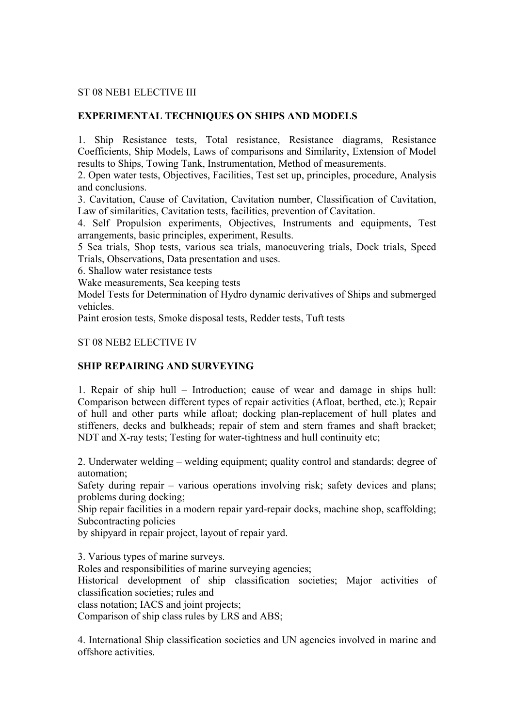## ST 08 NEB1 ELECTIVE III

# **EXPERIMENTAL TECHNIQUES ON SHIPS AND MODELS**

1. Ship Resistance tests, Total resistance, Resistance diagrams, Resistance Coefficients, Ship Models, Laws of comparisons and Similarity, Extension of Model results to Ships, Towing Tank, Instrumentation, Method of measurements.

2. Open water tests, Objectives, Facilities, Test set up, principles, procedure, Analysis and conclusions.

3. Cavitation, Cause of Cavitation, Cavitation number, Classification of Cavitation, Law of similarities, Cavitation tests, facilities, prevention of Cavitation.

4. Self Propulsion experiments, Objectives, Instruments and equipments, Test arrangements, basic principles, experiment, Results.

5 Sea trials, Shop tests, various sea trials, manoeuvering trials, Dock trials, Speed Trials, Observations, Data presentation and uses.

6. Shallow water resistance tests

Wake measurements, Sea keeping tests

Model Tests for Determination of Hydro dynamic derivatives of Ships and submerged vehicles.

Paint erosion tests, Smoke disposal tests, Redder tests, Tuft tests

#### ST 08 NEB2 ELECTIVE IV

## **SHIP REPAIRING AND SURVEYING**

1. Repair of ship hull – Introduction; cause of wear and damage in ships hull: Comparison between different types of repair activities (Afloat, berthed, etc.); Repair of hull and other parts while afloat; docking plan-replacement of hull plates and stiffeners, decks and bulkheads; repair of stem and stern frames and shaft bracket; NDT and X-ray tests; Testing for water-tightness and hull continuity etc;

2. Underwater welding – welding equipment; quality control and standards; degree of automation;

Safety during repair – various operations involving risk; safety devices and plans; problems during docking;

Ship repair facilities in a modern repair yard-repair docks, machine shop, scaffolding; Subcontracting policies

by shipyard in repair project, layout of repair yard.

3. Various types of marine surveys.

Roles and responsibilities of marine surveying agencies;

Historical development of ship classification societies; Major activities of classification societies; rules and

class notation; IACS and joint projects;

Comparison of ship class rules by LRS and ABS;

4. International Ship classification societies and UN agencies involved in marine and offshore activities.